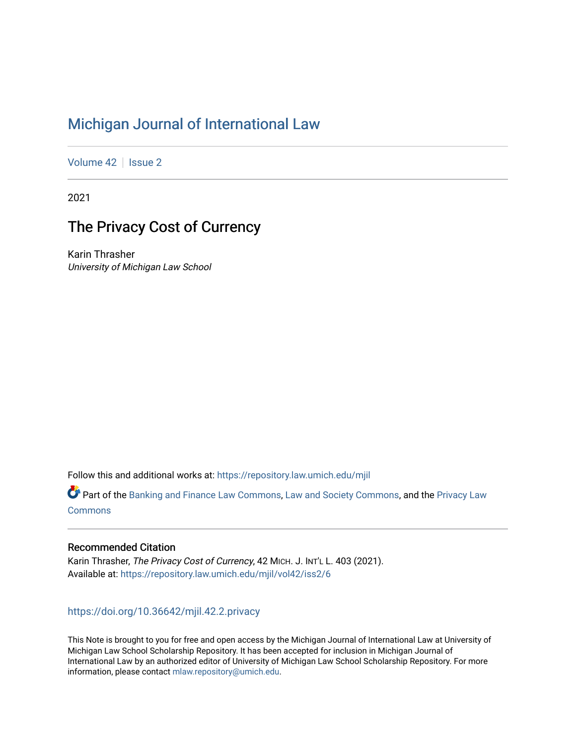# [Michigan Journal of International Law](https://repository.law.umich.edu/mjil)

[Volume 42](https://repository.law.umich.edu/mjil/vol42) | [Issue 2](https://repository.law.umich.edu/mjil/vol42/iss2)

2021

# The Privacy Cost of Currency

Karin Thrasher University of Michigan Law School

Follow this and additional works at: [https://repository.law.umich.edu/mjil](https://repository.law.umich.edu/mjil?utm_source=repository.law.umich.edu%2Fmjil%2Fvol42%2Fiss2%2F6&utm_medium=PDF&utm_campaign=PDFCoverPages) 

Part of the [Banking and Finance Law Commons,](http://network.bepress.com/hgg/discipline/833?utm_source=repository.law.umich.edu%2Fmjil%2Fvol42%2Fiss2%2F6&utm_medium=PDF&utm_campaign=PDFCoverPages) [Law and Society Commons](http://network.bepress.com/hgg/discipline/853?utm_source=repository.law.umich.edu%2Fmjil%2Fvol42%2Fiss2%2F6&utm_medium=PDF&utm_campaign=PDFCoverPages), and the [Privacy Law](http://network.bepress.com/hgg/discipline/1234?utm_source=repository.law.umich.edu%2Fmjil%2Fvol42%2Fiss2%2F6&utm_medium=PDF&utm_campaign=PDFCoverPages)  [Commons](http://network.bepress.com/hgg/discipline/1234?utm_source=repository.law.umich.edu%2Fmjil%2Fvol42%2Fiss2%2F6&utm_medium=PDF&utm_campaign=PDFCoverPages)

# Recommended Citation

Karin Thrasher, The Privacy Cost of Currency, 42 MICH. J. INT'L L. 403 (2021). Available at: [https://repository.law.umich.edu/mjil/vol42/iss2/6](https://repository.law.umich.edu/mjil/vol42/iss2/6?utm_source=repository.law.umich.edu%2Fmjil%2Fvol42%2Fiss2%2F6&utm_medium=PDF&utm_campaign=PDFCoverPages) 

<https://doi.org/10.36642/mjil.42.2.privacy>

This Note is brought to you for free and open access by the Michigan Journal of International Law at University of Michigan Law School Scholarship Repository. It has been accepted for inclusion in Michigan Journal of International Law by an authorized editor of University of Michigan Law School Scholarship Repository. For more information, please contact [mlaw.repository@umich.edu](mailto:mlaw.repository@umich.edu).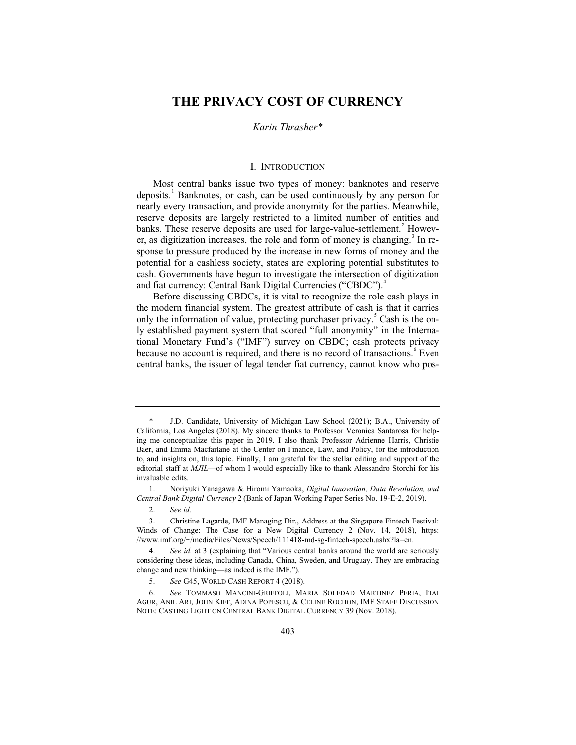# **THE PRIVACY COST OF CURRENCY**

#### *Karin Thrasher\**

#### I. INTRODUCTION

Most central banks issue two types of money: banknotes and reserve deposits.<sup>1</sup> Banknotes, or cash, can be used continuously by any person for nearly every transaction, and provide anonymity for the parties. Meanwhile, reserve deposits are largely restricted to a limited number of entities and banks. These reserve deposits are used for large-value-settlement.<sup>2</sup> However, as digitization increases, the role and form of money is changing.<sup>3</sup> In response to pressure produced by the increase in new forms of money and the potential for a cashless society, states are exploring potential substitutes to cash. Governments have begun to investigate the intersection of digitization and fiat currency: Central Bank Digital Currencies ("CBDC").<sup>4</sup>

Before discussing CBDCs, it is vital to recognize the role cash plays in the modern financial system. The greatest attribute of cash is that it carries only the information of value, protecting purchaser privacy. $5$  Cash is the only established payment system that scored "full anonymity" in the International Monetary Fund's ("IMF") survey on CBDC; cash protects privacy because no account is required, and there is no record of transactions.<sup>8</sup> Even central banks, the issuer of legal tender fiat currency, cannot know who pos-

J.D. Candidate, University of Michigan Law School (2021); B.A., University of California, Los Angeles (2018). My sincere thanks to Professor Veronica Santarosa for helping me conceptualize this paper in 2019. I also thank Professor Adrienne Harris, Christie Baer, and Emma Macfarlane at the Center on Finance, Law, and Policy, for the introduction to, and insights on, this topic. Finally, I am grateful for the stellar editing and support of the editorial staff at *MJIL*—of whom I would especially like to thank Alessandro Storchi for his invaluable edits.

<sup>1.</sup> Noriyuki Yanagawa & Hiromi Yamaoka, *Digital Innovation, Data Revolution, and Central Bank Digital Currency* 2 (Bank of Japan Working Paper Series No. 19-E-2, 2019).

<sup>2.</sup> *See id.*

<sup>3.</sup> Christine Lagarde, IMF Managing Dir., Address at the Singapore Fintech Festival: Winds of Change: The Case for a New Digital Currency 2 (Nov. 14, 2018), https: //www.imf.org/~/media/Files/News/Speech/111418-md-sg-fintech-speech.ashx?la=en.

See id. at 3 (explaining that "Various central banks around the world are seriously considering these ideas, including Canada, China, Sweden, and Uruguay. They are embracing change and new thinking—as indeed is the IMF.").

<sup>5.</sup> *See* G45, WORLD CASH REPORT 4 (2018).

<sup>6.</sup> *See* TOMMASO MANCINI-GRIFFOLI, MARIA SOLEDAD MARTINEZ PERIA, ITAI AGUR, ANIL ARI, JOHN KIFF, ADINA POPESCU, & CELINE ROCHON, IMF STAFF DISCUSSION NOTE: CASTING LIGHT ON CENTRAL BANK DIGITAL CURRENCY 39 (Nov. 2018).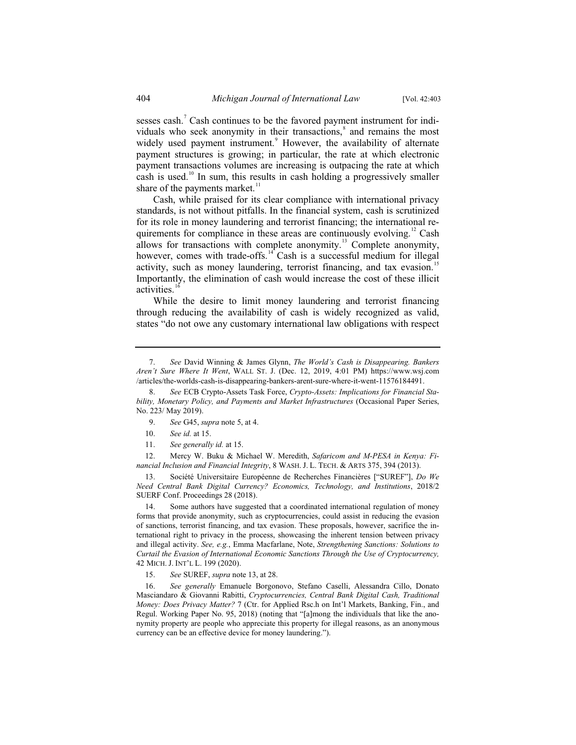sesses cash.<sup>7</sup> Cash continues to be the favored payment instrument for individuals who seek anonymity in their transactions,<sup>8</sup> and remains the most widely used payment instrument.<sup>9</sup> However, the availability of alternate payment structures is growing; in particular, the rate at which electronic payment transactions volumes are increasing is outpacing the rate at which cash is used.<sup>10</sup> In sum, this results in cash holding a progressively smaller share of the payments market. $11$ 

Cash, while praised for its clear compliance with international privacy standards, is not without pitfalls. In the financial system, cash is scrutinized for its role in money laundering and terrorist financing; the international requirements for compliance in these areas are continuously evolving.<sup>12</sup> Cash allows for transactions with complete anonymity.<sup>13</sup> Complete anonymity, however, comes with trade-offs. $14^{\circ}$  Cash is a successful medium for illegal activity, such as money laundering, terrorist financing, and tax evasion.<sup>15</sup> Importantly, the elimination of cash would increase the cost of these illicit activities.<sup>1</sup>

While the desire to limit money laundering and terrorist financing through reducing the availability of cash is widely recognized as valid, states "do not owe any customary international law obligations with respect

- 9. *See* G45, *supra* note 5, at 4.
- 10. *See id.* at 15.
- 11. *See generally id.* at 15.

 12. Mercy W. Buku & Michael W. Meredith, *Safaricom and M-PESA in Kenya: Financial Inclusion and Financial Integrity*, 8 WASH. J. L. TECH. & ARTS 375, 394 (2013).

 13. Société Universitaire Européenne de Recherches Financières ["SUREF"], *Do We Need Central Bank Digital Currency? Economics, Technology, and Institutions*, 2018/2 SUERF Conf. Proceedings 28 (2018).

 14. Some authors have suggested that a coordinated international regulation of money forms that provide anonymity, such as cryptocurrencies, could assist in reducing the evasion of sanctions, terrorist financing, and tax evasion. These proposals, however, sacrifice the international right to privacy in the process, showcasing the inherent tension between privacy and illegal activity. *See, e.g.*, Emma Macfarlane, Note, *Strengthening Sanctions: Solutions to Curtail the Evasion of International Economic Sanctions Through the Use of Cryptocurrency,*  42 MICH. J. INT'L L. 199 (2020).

 <sup>7.</sup> *See* David Winning & James Glynn, *The World's Cash is Disappearing. Bankers Aren't Sure Where It Went*, WALL ST. J. (Dec. 12, 2019, 4:01 PM) https://www.wsj.com /articles/the-worlds-cash-is-disappearing-bankers-arent-sure-where-it-went-11576184491.

 <sup>8.</sup> *See* ECB Crypto-Assets Task Force, *Crypto-Assets: Implications for Financial Stability, Monetary Policy, and Payments and Market Infrastructures* (Occasional Paper Series, No. 223/ May 2019).

 <sup>15.</sup> *See* SUREF, *supra* note 13, at 28.

 <sup>16.</sup> *See generally* Emanuele Borgonovo, Stefano Caselli, Alessandra Cillo, Donato Masciandaro & Giovanni Rabitti, *Cryptocurrencies, Central Bank Digital Cash, Traditional Money: Does Privacy Matter?* 7 (Ctr. for Applied Rsc.h on Int'l Markets, Banking, Fin., and Regul. Working Paper No. 95, 2018) (noting that "[a]mong the individuals that like the anonymity property are people who appreciate this property for illegal reasons, as an anonymous currency can be an effective device for money laundering.").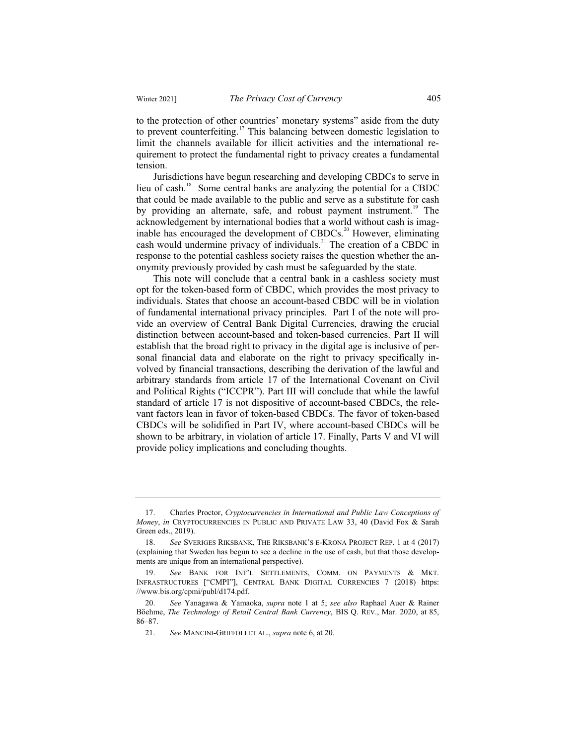to the protection of other countries' monetary systems" aside from the duty to prevent counterfeiting.<sup>17</sup> This balancing between domestic legislation to limit the channels available for illicit activities and the international requirement to protect the fundamental right to privacy creates a fundamental tension.

Jurisdictions have begun researching and developing CBDCs to serve in lieu of cash.<sup>18</sup> Some central banks are analyzing the potential for a CBDC that could be made available to the public and serve as a substitute for cash by providing an alternate, safe, and robust payment instrument.<sup>19</sup> The acknowledgement by international bodies that a world without cash is imaginable has encouraged the development of CBDCs.<sup>20</sup> However, eliminating cash would undermine privacy of individuals.<sup>21</sup> The creation of a CBDC in response to the potential cashless society raises the question whether the anonymity previously provided by cash must be safeguarded by the state.

This note will conclude that a central bank in a cashless society must opt for the token-based form of CBDC, which provides the most privacy to individuals. States that choose an account-based CBDC will be in violation of fundamental international privacy principles. Part I of the note will provide an overview of Central Bank Digital Currencies, drawing the crucial distinction between account-based and token-based currencies. Part II will establish that the broad right to privacy in the digital age is inclusive of personal financial data and elaborate on the right to privacy specifically involved by financial transactions, describing the derivation of the lawful and arbitrary standards from article 17 of the International Covenant on Civil and Political Rights ("ICCPR"). Part III will conclude that while the lawful standard of article 17 is not dispositive of account-based CBDCs, the relevant factors lean in favor of token-based CBDCs. The favor of token-based CBDCs will be solidified in Part IV, where account-based CBDCs will be shown to be arbitrary, in violation of article 17. Finally, Parts V and VI will provide policy implications and concluding thoughts.

<sup>17.</sup> Charles Proctor, *Cryptocurrencies in International and Public Law Conceptions of Money*, *in* CRYPTOCURRENCIES IN PUBLIC AND PRIVATE LAW 33, 40 (David Fox & Sarah Green eds., 2019).

<sup>18.</sup> *See* SVERIGES RIKSBANK, THE RIKSBANK'S E-KRONA PROJECT REP. 1 at 4 (2017) (explaining that Sweden has begun to see a decline in the use of cash, but that those developments are unique from an international perspective).

<sup>19.</sup> *See* BANK FOR INT'L SETTLEMENTS, COMM. ON PAYMENTS & MKT. INFRASTRUCTURES ["CMPI"], CENTRAL BANK DIGITAL CURRENCIES 7 (2018) https: //www.bis.org/cpmi/publ/d174.pdf.

<sup>20.</sup> *See* Yanagawa & Yamaoka, *supra* note 1 at 5; *see also* Raphael Auer & Rainer Böehme, *The Technology of Retail Central Bank Currency*, BIS Q. REV., Mar. 2020, at 85, 86–87.

<sup>21.</sup> *See* MANCINI-GRIFFOLI ET AL., *supra* note 6, at 20.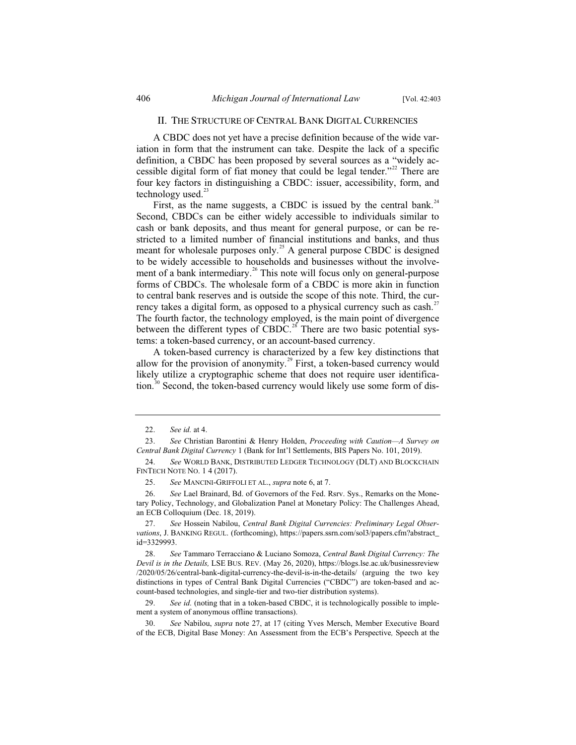#### II. THE STRUCTURE OF CENTRAL BANK DIGITAL CURRENCIES

A CBDC does not yet have a precise definition because of the wide variation in form that the instrument can take. Despite the lack of a specific definition, a CBDC has been proposed by several sources as a "widely accessible digital form of fiat money that could be legal tender."<sup>22</sup> There are four key factors in distinguishing a CBDC: issuer, accessibility, form, and technology used.<sup>2</sup>

First, as the name suggests, a CBDC is issued by the central bank.<sup>24</sup> Second, CBDCs can be either widely accessible to individuals similar to cash or bank deposits, and thus meant for general purpose, or can be restricted to a limited number of financial institutions and banks, and thus meant for wholesale purposes only.<sup>25</sup> A general purpose CBDC is designed to be widely accessible to households and businesses without the involvement of a bank intermediary.<sup>26</sup> This note will focus only on general-purpose forms of CBDCs. The wholesale form of a CBDC is more akin in function to central bank reserves and is outside the scope of this note. Third, the currency takes a digital form, as opposed to a physical currency such as  $cash.^{27}$ The fourth factor, the technology employed, is the main point of divergence between the different types of CBDC.<sup>28</sup> There are two basic potential systems: a token-based currency, or an account-based currency.

A token-based currency is characterized by a few key distinctions that allow for the provision of anonymity.<sup>29</sup> First, a token-based currency would likely utilize a cryptographic scheme that does not require user identification.<sup>30</sup> Second, the token-based currency would likely use some form of dis-

<sup>22.</sup> *See id.* at 4.

<sup>23.</sup> *See* Christian Barontini & Henry Holden, *Proceeding with Caution—A Survey on Central Bank Digital Currency* 1 (Bank for Int'l Settlements, BIS Papers No. 101, 2019).

<sup>24.</sup> *See* WORLD BANK, DISTRIBUTED LEDGER TECHNOLOGY (DLT) AND BLOCKCHAIN FINTECH NOTE NO. 1 4 (2017).

<sup>25.</sup> *See* MANCINI-GRIFFOLI ET AL., *supra* note 6, at 7.

<sup>26.</sup> *See* Lael Brainard, Bd. of Governors of the Fed. Rsrv. Sys., Remarks on the Monetary Policy, Technology, and Globalization Panel at Monetary Policy: The Challenges Ahead, an ECB Colloquium (Dec. 18, 2019).

<sup>27.</sup> *See* Hossein Nabilou, *Central Bank Digital Currencies: Preliminary Legal Observations*, J. BANKING REGUL. (forthcoming), https://papers.ssrn.com/sol3/papers.cfm?abstract\_ id=3329993.

<sup>28.</sup> *See* Tammaro Terracciano & Luciano Somoza, *Central Bank Digital Currency: The Devil is in the Details,* LSE BUS. REV. (May 26, 2020), https://blogs.lse.ac.uk/businessreview /2020/05/26/central-bank-digital-currency-the-devil-is-in-the-details/ (arguing the two key distinctions in types of Central Bank Digital Currencies ("CBDC") are token-based and account-based technologies, and single-tier and two-tier distribution systems).

<sup>29.</sup> *See id.* (noting that in a token-based CBDC, it is technologically possible to implement a system of anonymous offline transactions).

<sup>30.</sup> *See* Nabilou, *supra* note 27, at 17 (citing Yves Mersch, Member Executive Board of the ECB, Digital Base Money: An Assessment from the ECB's Perspective*,* Speech at the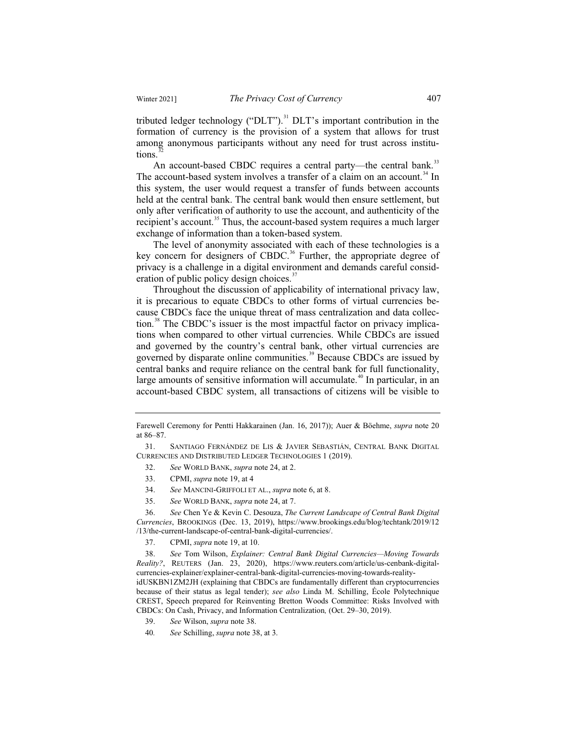tributed ledger technology ("DLT").<sup>31</sup> DLT's important contribution in the formation of currency is the provision of a system that allows for trust among anonymous participants without any need for trust across institutions.

An account-based CBDC requires a central party—the central bank.<sup>33</sup> The account-based system involves a transfer of a claim on an account.<sup>34</sup> In this system, the user would request a transfer of funds between accounts held at the central bank. The central bank would then ensure settlement, but only after verification of authority to use the account, and authenticity of the recipient's account.<sup>35</sup> Thus, the account-based system requires a much larger exchange of information than a token-based system.

The level of anonymity associated with each of these technologies is a key concern for designers of CBDC.<sup>36</sup> Further, the appropriate degree of privacy is a challenge in a digital environment and demands careful consideration of public policy design choices.<sup>37</sup>

Throughout the discussion of applicability of international privacy law, it is precarious to equate CBDCs to other forms of virtual currencies because CBDCs face the unique threat of mass centralization and data collection.<sup>38</sup> The CBDC's issuer is the most impactful factor on privacy implications when compared to other virtual currencies. While CBDCs are issued and governed by the country's central bank, other virtual currencies are governed by disparate online communities.<sup>39</sup> Because CBDCs are issued by central banks and require reliance on the central bank for full functionality, large amounts of sensitive information will accumulate.<sup>40</sup> In particular, in an account-based CBDC system, all transactions of citizens will be visible to

- 33. CPMI, *supra* note 19, at 4
- 34. *See* MANCINI-GRIFFOLI ET AL., *supra* note 6, at 8.
- 35. *See* WORLD BANK, *supra* note 24, at 7.

36. *See* Chen Ye & Kevin C. Desouza, *The Current Landscape of Central Bank Digital Currencies*, BROOKINGS (Dec. 13, 2019), https://www.brookings.edu/blog/techtank/2019/12 /13/the-current-landscape-of-central-bank-digital-currencies/.

37. CPMI, *supra* note 19, at 10.

38. *See* Tom Wilson, *Explainer: Central Bank Digital Currencies—Moving Towards Reality?*, REUTERS (Jan. 23, 2020), https://www.reuters.com/article/us-cenbank-digitalcurrencies-explainer/explainer-central-bank-digital-currencies-moving-towards-realityidUSKBN1ZM2JH (explaining that CBDCs are fundamentally different than cryptocurrencies

because of their status as legal tender); *see also* Linda M. Schilling, École Polytechnique CREST, Speech prepared for Reinventing Bretton Woods Committee: Risks Involved with CBDCs: On Cash, Privacy, and Information Centralization*,* (Oct. 29–30, 2019).

Farewell Ceremony for Pentti Hakkarainen (Jan. 16, 2017)); Auer & Böehme, *supra* note 20 at 86–87.

<sup>31.</sup> SANTIAGO FERNÁNDEZ DE LIS & JAVIER SEBASTIÁN, CENTRAL BANK DIGITAL CURRENCIES AND DISTRIBUTED LEDGER TECHNOLOGIES 1 (2019).

<sup>32.</sup> *See* WORLD BANK, *supra* note 24, at 2.

<sup>39.</sup> *See* Wilson, *supra* note 38.

<sup>40</sup>*. See* Schilling, *supra* note 38, at 3.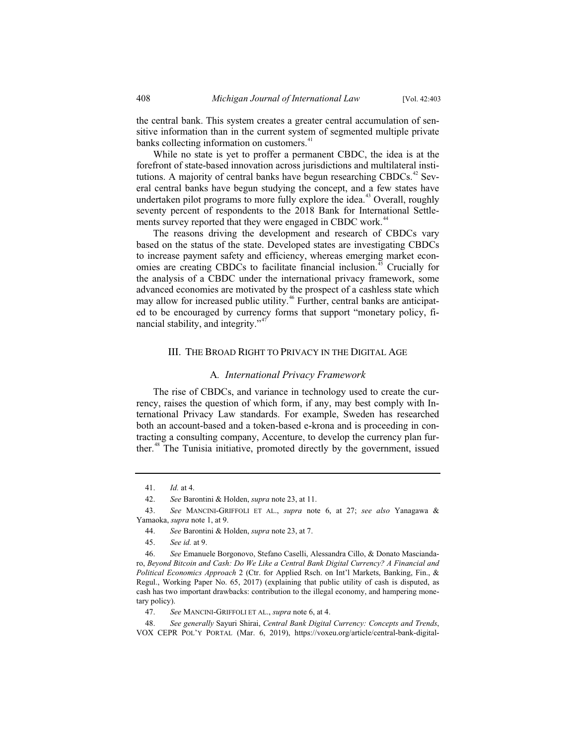the central bank. This system creates a greater central accumulation of sensitive information than in the current system of segmented multiple private banks collecting information on customers.<sup>41</sup>

While no state is yet to proffer a permanent CBDC, the idea is at the forefront of state-based innovation across jurisdictions and multilateral institutions. A majority of central banks have begun researching CBDCs.<sup>42</sup> Several central banks have begun studying the concept, and a few states have undertaken pilot programs to more fully explore the idea.<sup>43</sup> Overall, roughly seventy percent of respondents to the 2018 Bank for International Settlements survey reported that they were engaged in CBDC work.<sup>44</sup>

The reasons driving the development and research of CBDCs vary based on the status of the state. Developed states are investigating CBDCs to increase payment safety and efficiency, whereas emerging market economies are creating CBDCs to facilitate financial inclusion.<sup>45</sup> Crucially for the analysis of a CBDC under the international privacy framework, some advanced economies are motivated by the prospect of a cashless state which may allow for increased public utility.<sup>46</sup> Further, central banks are anticipated to be encouraged by currency forms that support "monetary policy, financial stability, and integrity."<sup>47</sup>

#### III. THE BROAD RIGHT TO PRIVACY IN THE DIGITAL AGE

#### A*. International Privacy Framework*

The rise of CBDCs, and variance in technology used to create the currency, raises the question of which form, if any, may best comply with International Privacy Law standards. For example, Sweden has researched both an account-based and a token-based e-krona and is proceeding in contracting a consulting company, Accenture, to develop the currency plan further.<sup>48</sup> The Tunisia initiative, promoted directly by the government, issued

<sup>41.</sup> *Id.* at 4.

<sup>42.</sup> *See* Barontini & Holden, *supra* note 23, at 11.

<sup>43.</sup> *See* MANCINI-GRIFFOLI ET AL., *supra* note 6, at 27; *see also* Yanagawa & Yamaoka, *supra* note 1, at 9.

<sup>44.</sup> *See* Barontini & Holden, *supra* note 23, at 7.

<sup>45.</sup> *See id.* at 9.

<sup>46.</sup> *See* Emanuele Borgonovo, Stefano Caselli, Alessandra Cillo, & Donato Masciandaro, *Beyond Bitcoin and Cash: Do We Like a Central Bank Digital Currency? A Financial and Political Economics Approach* 2 (Ctr. for Applied Rsch. on Int'l Markets, Banking, Fin., & Regul., Working Paper No. 65, 2017) (explaining that public utility of cash is disputed, as cash has two important drawbacks: contribution to the illegal economy, and hampering monetary policy).

<sup>47.</sup> *See* MANCINI-GRIFFOLI ET AL., *supra* note 6, at 4.

<sup>48.</sup> *See generally* Sayuri Shirai, *Central Bank Digital Currency: Concepts and Trends*, VOX CEPR POL'Y PORTAL (Mar. 6, 2019), https://voxeu.org/article/central-bank-digital-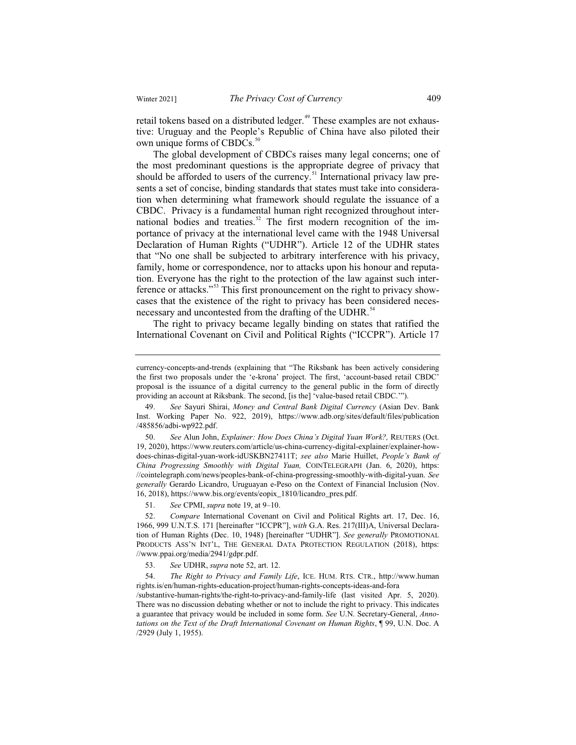retail tokens based on a distributed ledger.<sup>49</sup> These examples are not exhaustive: Uruguay and the People's Republic of China have also piloted their own unique forms of CBDCs.<sup>50</sup>

The global development of CBDCs raises many legal concerns; one of the most predominant questions is the appropriate degree of privacy that should be afforded to users of the currency.<sup>51</sup> International privacy law presents a set of concise, binding standards that states must take into consideration when determining what framework should regulate the issuance of a CBDC. Privacy is a fundamental human right recognized throughout international bodies and treaties.<sup>52</sup> The first modern recognition of the importance of privacy at the international level came with the 1948 Universal Declaration of Human Rights ("UDHR"). Article 12 of the UDHR states that "No one shall be subjected to arbitrary interference with his privacy, family, home or correspondence, nor to attacks upon his honour and reputation. Everyone has the right to the protection of the law against such interference or attacks."<sup>53</sup> This first pronouncement on the right to privacy showcases that the existence of the right to privacy has been considered necesnecessary and uncontested from the drafting of the UDHR.<sup>54</sup>

The right to privacy became legally binding on states that ratified the International Covenant on Civil and Political Rights ("ICCPR"). Article 17

50. *See* Alun John, *Explainer: How Does China's Digital Yuan Work?,* REUTERS (Oct. 19, 2020), https://www.reuters.com/article/us-china-currency-digital-explainer/explainer-howdoes-chinas-digital-yuan-work-idUSKBN27411T; *see also* Marie Huillet, *People's Bank of China Progressing Smoothly with Digital Yuan,* COINTELEGRAPH (Jan. 6, 2020), https: //cointelegraph.com/news/peoples-bank-of-china-progressing-smoothly-with-digital-yuan. *See generally* Gerardo Licandro, Uruguayan e-Peso on the Context of Financial Inclusion (Nov. 16, 2018), https://www.bis.org/events/eopix\_1810/licandro\_pres.pdf.

51. *See* CPMI, *supra* note 19, at 9–10.

52. *Compare* International Covenant on Civil and Political Rights art. 17, Dec. 16, 1966, 999 U.N.T.S. 171 [hereinafter "ICCPR"], *with* G.A. Res. 217(III)A, Universal Declaration of Human Rights (Dec. 10, 1948) [hereinafter "UDHR"]. *See generally* PROMOTIONAL PRODUCTS ASS'N INT'L, THE GENERAL DATA PROTECTION REGULATION (2018), https: //www.ppai.org/media/2941/gdpr.pdf.

53. *See* UDHR, *supra* note 52, art. 12.

54. *The Right to Privacy and Family Life*, ICE. HUM. RTS. CTR., http://www.human rights.is/en/human-rights-education-project/human-rights-concepts-ideas-and-fora

/substantive-human-rights/the-right-to-privacy-and-family-life (last visited Apr. 5, 2020). There was no discussion debating whether or not to include the right to privacy. This indicates a guarantee that privacy would be included in some form. *See* U.N. Secretary-General, *Annotations on the Text of the Draft International Covenant on Human Rights*, ¶ 99, U.N. Doc. A /2929 (July 1, 1955).

currency-concepts-and-trends (explaining that "The Riksbank has been actively considering the first two proposals under the 'e-krona' project. The first, 'account-based retail CBDC' proposal is the issuance of a digital currency to the general public in the form of directly providing an account at Riksbank. The second, [is the] 'value-based retail CBDC.'").

<sup>49.</sup> *See* Sayuri Shirai, *Money and Central Bank Digital Currency* (Asian Dev. Bank Inst. Working Paper No. 922, 2019), https://www.adb.org/sites/default/files/publication /485856/adbi-wp922.pdf.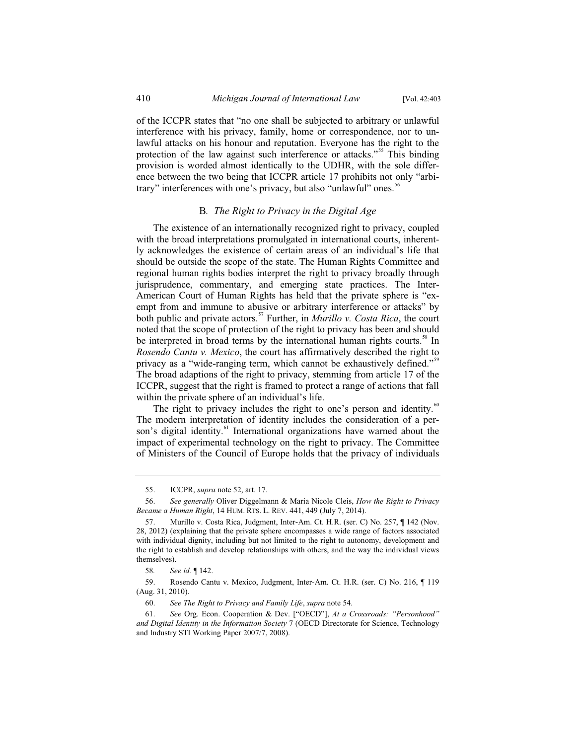of the ICCPR states that "no one shall be subjected to arbitrary or unlawful interference with his privacy, family, home or correspondence, nor to unlawful attacks on his honour and reputation. Everyone has the right to the protection of the law against such interference or attacks."<sup>55</sup> This binding provision is worded almost identically to the UDHR, with the sole difference between the two being that ICCPR article 17 prohibits not only "arbitrary" interferences with one's privacy, but also "unlawful" ones.<sup>56</sup>

#### B*. The Right to Privacy in the Digital Age*

The existence of an internationally recognized right to privacy, coupled with the broad interpretations promulgated in international courts, inherently acknowledges the existence of certain areas of an individual's life that should be outside the scope of the state. The Human Rights Committee and regional human rights bodies interpret the right to privacy broadly through jurisprudence, commentary, and emerging state practices. The Inter-American Court of Human Rights has held that the private sphere is "exempt from and immune to abusive or arbitrary interference or attacks" by both public and private actors.<sup>57</sup> Further, in *Murillo v. Costa Rica*, the court noted that the scope of protection of the right to privacy has been and should be interpreted in broad terms by the international human rights courts.<sup>58</sup> In *Rosendo Cantu v. Mexico*, the court has affirmatively described the right to privacy as a "wide-ranging term, which cannot be exhaustively defined."<sup>55</sup> The broad adaptions of the right to privacy, stemming from article 17 of the ICCPR, suggest that the right is framed to protect a range of actions that fall within the private sphere of an individual's life.

The right to privacy includes the right to one's person and identity.<sup>60</sup> The modern interpretation of identity includes the consideration of a person's digital identity.<sup>61</sup> International organizations have warned about the impact of experimental technology on the right to privacy. The Committee of Ministers of the Council of Europe holds that the privacy of individuals

<sup>55.</sup> ICCPR, *supra* note 52, art. 17.

<sup>56.</sup> *See generally* Oliver Diggelmann & Maria Nicole Cleis, *How the Right to Privacy Became a Human Right*, 14 HUM. RTS. L. REV. 441, 449 (July 7, 2014).

<sup>57.</sup> Murillo v. Costa Rica, Judgment, Inter-Am. Ct. H.R. (ser. C) No. 257, ¶ 142 (Nov. 28, 2012) (explaining that the private sphere encompasses a wide range of factors associated with individual dignity, including but not limited to the right to autonomy, development and the right to establish and develop relationships with others, and the way the individual views themselves).

<sup>58</sup>*. See id.* ¶ 142.

<sup>59.</sup> Rosendo Cantu v. Mexico, Judgment, Inter-Am. Ct. H.R. (ser. C) No. 216, ¶ 119 (Aug. 31, 2010).

<sup>60.</sup> *See The Right to Privacy and Family Life*, *supra* note 54.

<sup>61.</sup> *See* Org. Econ. Cooperation & Dev. ["OECD"], *At a Crossroads: "Personhood" and Digital Identity in the Information Society* 7 (OECD Directorate for Science, Technology and Industry STI Working Paper 2007/7, 2008).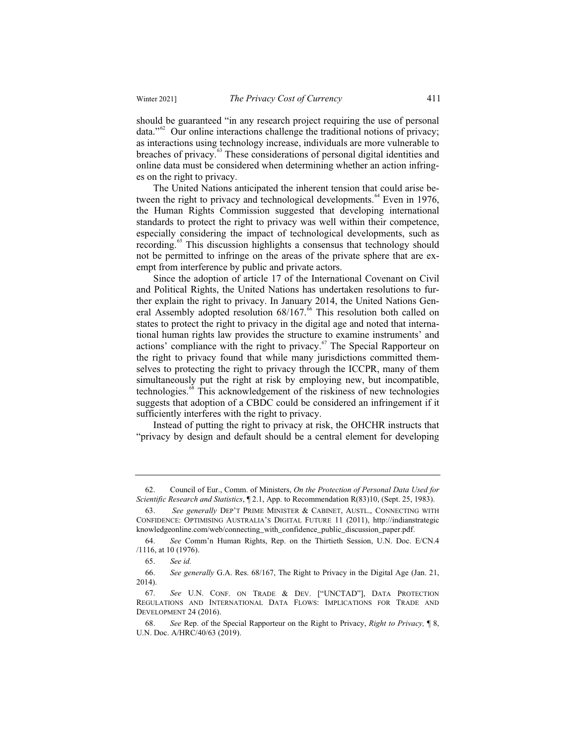should be guaranteed "in any research project requiring the use of personal data."<sup>62</sup> Our online interactions challenge the traditional notions of privacy; as interactions using technology increase, individuals are more vulnerable to breaches of privacy.<sup>63</sup> These considerations of personal digital identities and online data must be considered when determining whether an action infringes on the right to privacy.

The United Nations anticipated the inherent tension that could arise between the right to privacy and technological developments.<sup> $64$ </sup> Even in 1976, the Human Rights Commission suggested that developing international standards to protect the right to privacy was well within their competence, especially considering the impact of technological developments, such as recording.<sup>65</sup> This discussion highlights a consensus that technology should not be permitted to infringe on the areas of the private sphere that are exempt from interference by public and private actors.

Since the adoption of article 17 of the International Covenant on Civil and Political Rights, the United Nations has undertaken resolutions to further explain the right to privacy. In January 2014, the United Nations General Assembly adopted resolution 68/167.<sup>66</sup> This resolution both called on states to protect the right to privacy in the digital age and noted that international human rights law provides the structure to examine instruments' and actions' compliance with the right to privacy. $67$  The Special Rapporteur on the right to privacy found that while many jurisdictions committed themselves to protecting the right to privacy through the ICCPR, many of them simultaneously put the right at risk by employing new, but incompatible, technologies.<sup>68</sup> This acknowledgement of the riskiness of new technologies suggests that adoption of a CBDC could be considered an infringement if it sufficiently interferes with the right to privacy.

Instead of putting the right to privacy at risk, the OHCHR instructs that "privacy by design and default should be a central element for developing

<sup>62.</sup> Council of Eur., Comm. of Ministers, *On the Protection of Personal Data Used for Scientific Research and Statistics*, ¶ 2.1, App. to Recommendation R(83)10, (Sept. 25, 1983).

<sup>63.</sup> *See generally* DEP'T PRIME MINISTER & CABINET, AUSTL., CONNECTING WITH CONFIDENCE: OPTIMISING AUSTRALIA'S DIGITAL FUTURE 11 (2011), http://indianstrategic knowledgeonline.com/web/connecting\_with\_confidence\_public\_discussion\_paper.pdf.

<sup>64.</sup> *See* Comm'n Human Rights, Rep. on the Thirtieth Session, U.N. Doc. E/CN.4 /1116, at 10 (1976).

<sup>65.</sup> *See id.*

<sup>66.</sup> *See generally* G.A. Res. 68/167, The Right to Privacy in the Digital Age (Jan. 21, 2014).

<sup>67.</sup> *See* U.N. CONF. ON TRADE & DEV. ["UNCTAD"], DATA PROTECTION REGULATIONS AND INTERNATIONAL DATA FLOWS: IMPLICATIONS FOR TRADE AND DEVELOPMENT 24 (2016).

<sup>68.</sup> *See* Rep. of the Special Rapporteur on the Right to Privacy, *Right to Privacy,* ¶ 8, U.N. Doc. A/HRC/40/63 (2019).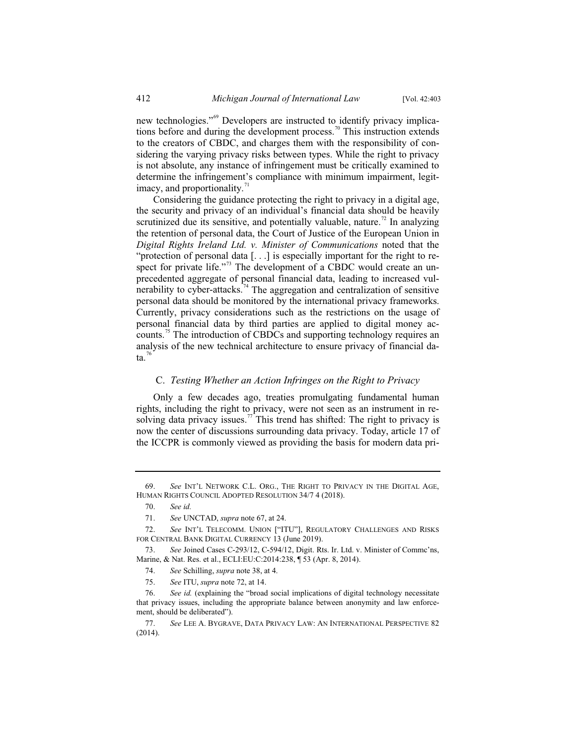new technologies."<sup>69</sup> Developers are instructed to identify privacy implications before and during the development process.<sup>70</sup> This instruction extends to the creators of CBDC, and charges them with the responsibility of considering the varying privacy risks between types. While the right to privacy is not absolute, any instance of infringement must be critically examined to determine the infringement's compliance with minimum impairment, legitimacy, and proportionality.<sup>71</sup>

Considering the guidance protecting the right to privacy in a digital age, the security and privacy of an individual's financial data should be heavily scrutinized due its sensitive, and potentially valuable, nature.<sup>72</sup> In analyzing the retention of personal data, the Court of Justice of the European Union in *Digital Rights Ireland Ltd. v. Minister of Communications* noted that the "protection of personal data [. . .] is especially important for the right to respect for private life."<sup>73</sup> The development of a CBDC would create an unprecedented aggregate of personal financial data, leading to increased vulnerability to cyber-attacks.<sup>74</sup> The aggregation and centralization of sensitive personal data should be monitored by the international privacy frameworks. Currently, privacy considerations such as the restrictions on the usage of personal financial data by third parties are applied to digital money accounts.<sup>75</sup> The introduction of CBDCs and supporting technology requires an analysis of the new technical architecture to ensure privacy of financial da $ta.$ <sup>76</sup>

#### C. *Testing Whether an Action Infringes on the Right to Privacy*

Only a few decades ago, treaties promulgating fundamental human rights, including the right to privacy, were not seen as an instrument in resolving data privacy issues.<sup>77</sup> This trend has shifted: The right to privacy is now the center of discussions surrounding data privacy. Today, article 17 of the ICCPR is commonly viewed as providing the basis for modern data pri-

 <sup>69.</sup> *See* INT'L NETWORK C.L. ORG., THE RIGHT TO PRIVACY IN THE DIGITAL AGE, HUMAN RIGHTS COUNCIL ADOPTED RESOLUTION 34/7 4 (2018).

 <sup>70.</sup> *See id.*

 <sup>71.</sup> *See* UNCTAD, *supra* note 67, at 24.

 <sup>72.</sup> *See* INT'L TELECOMM. UNION ["ITU"], REGULATORY CHALLENGES AND RISKS FOR CENTRAL BANK DIGITAL CURRENCY 13 (June 2019).

 <sup>73.</sup> *See* Joined Cases C-293/12, C-594/12, Digit. Rts. Ir. Ltd. v. Minister of Commc'ns, Marine, & Nat. Res. et al., ECLI:EU:C:2014:238, ¶ 53 (Apr. 8, 2014).

 <sup>74.</sup> *See* Schilling, *supra* note 38, at 4.

 <sup>75.</sup> *See* ITU, *supra* note 72, at 14.

 <sup>76.</sup> *See id.* (explaining the "broad social implications of digital technology necessitate that privacy issues, including the appropriate balance between anonymity and law enforcement, should be deliberated").

 <sup>77.</sup> *See* LEE A. BYGRAVE, DATA PRIVACY LAW: AN INTERNATIONAL PERSPECTIVE 82 (2014).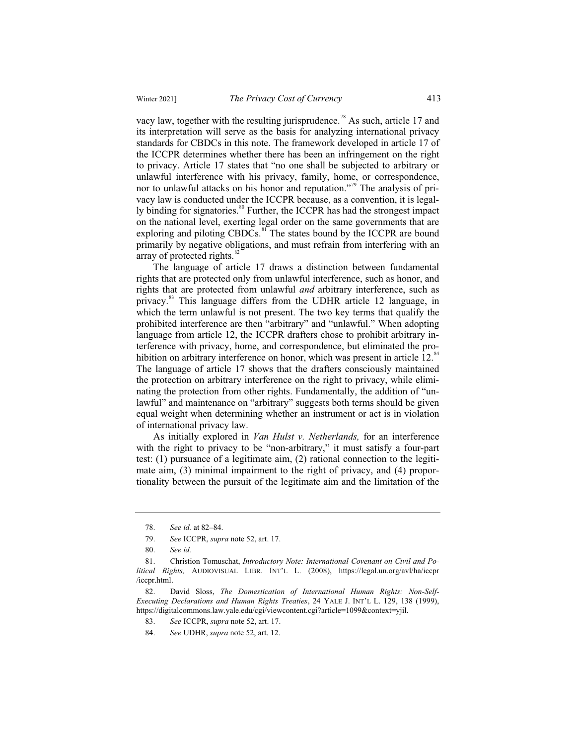vacy law, together with the resulting jurisprudence.<sup>78</sup> As such, article 17 and its interpretation will serve as the basis for analyzing international privacy standards for CBDCs in this note. The framework developed in article 17 of the ICCPR determines whether there has been an infringement on the right to privacy. Article 17 states that "no one shall be subjected to arbitrary or unlawful interference with his privacy, family, home, or correspondence, nor to unlawful attacks on his honor and reputation."<sup>79</sup> The analysis of privacy law is conducted under the ICCPR because, as a convention, it is legally binding for signatories. $\frac{80}{3}$  Further, the ICCPR has had the strongest impact on the national level, exerting legal order on the same governments that are exploring and piloting CBDCs. $81$ <sup>E</sup> The states bound by the ICCPR are bound primarily by negative obligations, and must refrain from interfering with an

array of protected rights.<sup>82</sup> The language of article 17 draws a distinction between fundamental rights that are protected only from unlawful interference, such as honor, and rights that are protected from unlawful *and* arbitrary interference, such as privacy.<sup>83</sup> This language differs from the UDHR article 12 language, in which the term unlawful is not present. The two key terms that qualify the prohibited interference are then "arbitrary" and "unlawful." When adopting language from article 12, the ICCPR drafters chose to prohibit arbitrary interference with privacy, home, and correspondence, but eliminated the prohibition on arbitrary interference on honor, which was present in article  $12$ .<sup>8</sup> The language of article 17 shows that the drafters consciously maintained the protection on arbitrary interference on the right to privacy, while eliminating the protection from other rights. Fundamentally, the addition of "unlawful" and maintenance on "arbitrary" suggests both terms should be given equal weight when determining whether an instrument or act is in violation of international privacy law.

As initially explored in *Van Hulst v. Netherlands,* for an interference with the right to privacy to be "non-arbitrary," it must satisfy a four-part test: (1) pursuance of a legitimate aim, (2) rational connection to the legitimate aim, (3) minimal impairment to the right of privacy, and (4) proportionality between the pursuit of the legitimate aim and the limitation of the

<sup>78.</sup> *See id.* at 82–84.

<sup>79.</sup> *See* ICCPR, *supra* note 52, art. 17.

<sup>80.</sup> *See id.*

<sup>81.</sup> Christion Tomuschat, *Introductory Note: International Covenant on Civil and Political Rights,* AUDIOVISUAL LIBR. INT'L L. (2008), https://legal.un.org/avl/ha/iccpr /iccpr.html.

<sup>82.</sup> David Sloss, *The Domestication of International Human Rights: Non-Self-Executing Declarations and Human Rights Treaties*, 24 YALE J. INT'L L. 129, 138 (1999), https://digitalcommons.law.yale.edu/cgi/viewcontent.cgi?article=1099&context=yjil.

<sup>83.</sup> *See* ICCPR, *supra* note 52, art. 17.

<sup>84.</sup> *See* UDHR, *supra* note 52, art. 12.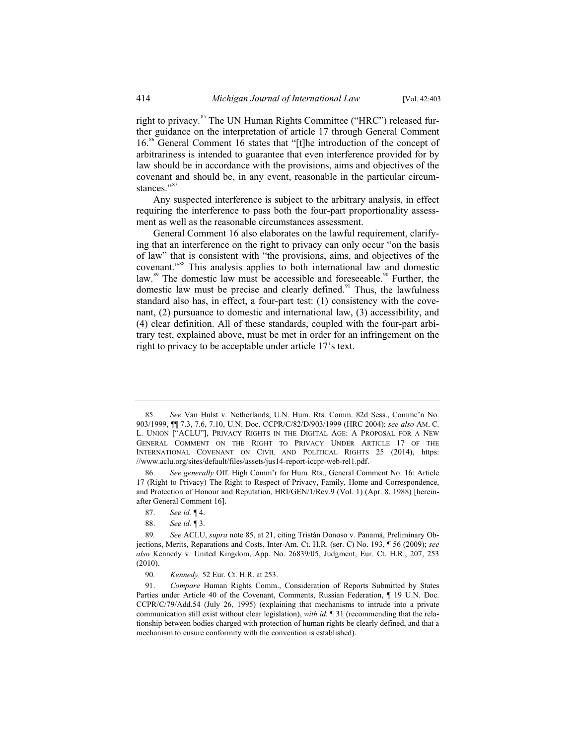right to privacy.<sup>85</sup> The UN Human Rights Committee ("HRC") released further guidance on the interpretation of article 17 through General Comment 16.<sup>86</sup> General Comment 16 states that "[t]he introduction of the concept of arbitrariness is intended to guarantee that even interference provided for by law should be in accordance with the provisions, aims and objectives of the covenant and should be, in any event, reasonable in the particular circumstances."<sup>87</sup>

Any suspected interference is subject to the arbitrary analysis, in effect requiring the interference to pass both the four-part proportionality assessment as well as the reasonable circumstances assessment.

General Comment 16 also elaborates on the lawful requirement, clarifying that an interference on the right to privacy can only occur "on the basis of law" that is consistent with "the provisions, aims, and objectives of the covenant."<sup>88</sup> This analysis applies to both international law and domestic law.<sup>89</sup> The domestic law must be accessible and foreseeable.<sup>90</sup> Further, the domestic law must be precise and clearly defined. $91$  Thus, the lawfulness standard also has, in effect, a four-part test: (1) consistency with the covenant, (2) pursuance to domestic and international law, (3) accessibility, and (4) clear definition. All of these standards, coupled with the four-part arbitrary test, explained above, must be met in order for an infringement on the right to privacy to be acceptable under article 17's text.

 <sup>85.</sup> *See* Van Hulst v. Netherlands, U.N. Hum. Rts. Comm. 82d Sess., Commc'n No. 903/1999, ¶¶ 7.3, 7.6, 7.10, U.N. Doc. CCPR/C/82/D/903/1999 (HRC 2004); *see also* AM. C. L. UNION ["ACLU"], PRIVACY RIGHTS IN THE DIGITAL AGE: A PROPOSAL FOR A NEW GENERAL COMMENT ON THE RIGHT TO PRIVACY UNDER ARTICLE 17 OF THE INTERNATIONAL COVENANT ON CIVIL AND POLITICAL RIGHTS 25 (2014), https: //www.aclu.org/sites/default/files/assets/jus14-report-iccpr-web-rel1.pdf.

 <sup>86.</sup> *See generally* Off. High Comm'r for Hum. Rts., General Comment No. 16: Article 17 (Right to Privacy) The Right to Respect of Privacy, Family, Home and Correspondence, and Protection of Honour and Reputation, HRI/GEN/1/Rev.9 (Vol. 1) (Apr. 8, 1988) [hereinafter General Comment 16].

 <sup>87.</sup> *See id.* ¶ 4.

 <sup>88.</sup> *See id.* ¶ 3.

<sup>89</sup>*. See* ACLU, *supra* note 85, at 21, citing Tristán Donoso v. Panamá, Preliminary Objections, Merits, Reparations and Costs, Inter-Am. Ct. H.R. (ser. C) No. 193, ¶ 56 (2009); *see also* Kennedy v. United Kingdom, App. No. 26839/05, Judgment, Eur. Ct. H.R., 207, 253 (2010).

<sup>90</sup>*. Kennedy,* 52 Eur. Ct. H.R. at 253.

 <sup>91.</sup> *Compare* Human Rights Comm., Consideration of Reports Submitted by States Parties under Article 40 of the Covenant, Comments, Russian Federation, ¶ 19 U.N. Doc. CCPR/C/79/Add.54 (July 26, 1995) (explaining that mechanisms to intrude into a private communication still exist without clear legislation), *with id.* ¶ 31 (recommending that the relationship between bodies charged with protection of human rights be clearly defined, and that a mechanism to ensure conformity with the convention is established).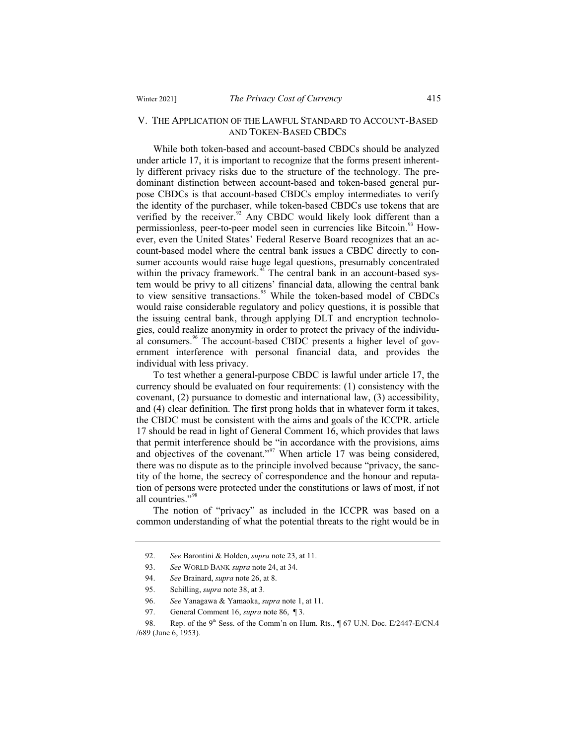#### V. THE APPLICATION OF THE LAWFUL STANDARD TO ACCOUNT-BASED AND TOKEN-BASED CBDCS

While both token-based and account-based CBDCs should be analyzed under article 17, it is important to recognize that the forms present inherently different privacy risks due to the structure of the technology. The predominant distinction between account-based and token-based general purpose CBDCs is that account-based CBDCs employ intermediates to verify the identity of the purchaser, while token-based CBDCs use tokens that are verified by the receiver.<sup>92</sup> Any CBDC would likely look different than a permissionless, peer-to-peer model seen in currencies like Bitcoin.<sup>93</sup> However, even the United States' Federal Reserve Board recognizes that an account-based model where the central bank issues a CBDC directly to consumer accounts would raise huge legal questions, presumably concentrated within the privacy framework.<sup>94</sup> The central bank in an account-based system would be privy to all citizens' financial data, allowing the central bank to view sensitive transactions.<sup>95</sup> While the token-based model of CBDCs would raise considerable regulatory and policy questions, it is possible that the issuing central bank, through applying DLT and encryption technologies, could realize anonymity in order to protect the privacy of the individual consumers.<sup>96</sup> The account-based CBDC presents a higher level of government interference with personal financial data, and provides the individual with less privacy.

To test whether a general-purpose CBDC is lawful under article 17, the currency should be evaluated on four requirements: (1) consistency with the covenant, (2) pursuance to domestic and international law, (3) accessibility, and (4) clear definition. The first prong holds that in whatever form it takes, the CBDC must be consistent with the aims and goals of the ICCPR. article 17 should be read in light of General Comment 16, which provides that laws that permit interference should be "in accordance with the provisions, aims and objectives of the covenant."<sup>97</sup> When article 17 was being considered, there was no dispute as to the principle involved because "privacy, the sanctity of the home, the secrecy of correspondence and the honour and reputation of persons were protected under the constitutions or laws of most, if not all countries."<sup>98</sup>

The notion of "privacy" as included in the ICCPR was based on a common understanding of what the potential threats to the right would be in

- 96. *See* Yanagawa & Yamaoka, *supra* note 1, at 11.
- 97. General Comment 16, *supra* note 86, ¶ 3.

<sup>92.</sup> *See* Barontini & Holden, *supra* note 23, at 11.

<sup>93.</sup> *See* WORLD BANK *supra* note 24, at 34.

<sup>94.</sup> *See* Brainard, *supra* note 26, at 8.

<sup>95.</sup> Schilling, *supra* note 38, at 3.

<sup>98.</sup> Rep. of the  $9<sup>th</sup>$  Sess. of the Comm'n on Hum. Rts.,  $\sqrt{ }$  67 U.N. Doc. E/2447-E/CN.4 /689 (June 6, 1953).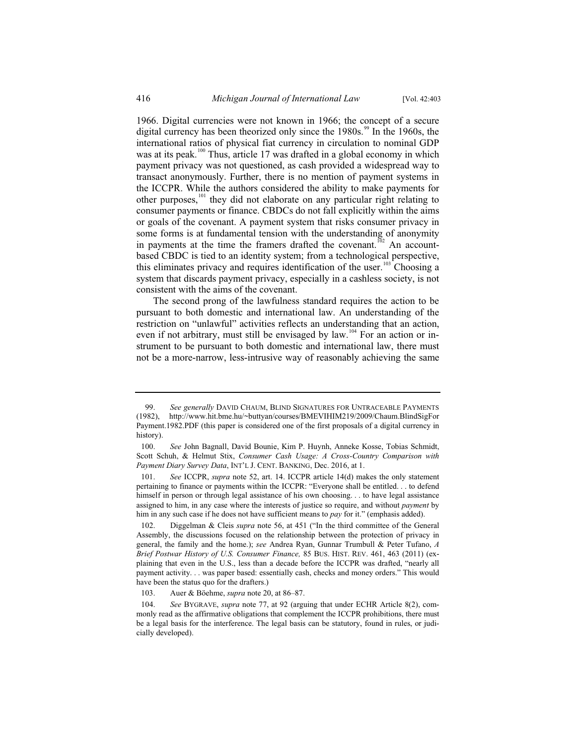1966. Digital currencies were not known in 1966; the concept of a secure digital currency has been theorized only since the  $1980s$ .<sup>99</sup> In the 1960s, the international ratios of physical fiat currency in circulation to nominal GDP was at its peak.<sup>100</sup> Thus, article 17 was drafted in a global economy in which payment privacy was not questioned, as cash provided a widespread way to transact anonymously. Further, there is no mention of payment systems in the ICCPR. While the authors considered the ability to make payments for other purposes,<sup>101</sup> they did not elaborate on any particular right relating to consumer payments or finance. CBDCs do not fall explicitly within the aims or goals of the covenant. A payment system that risks consumer privacy in some forms is at fundamental tension with the understanding of anonymity in payments at the time the framers drafted the covenant.<sup>102</sup> An accountbased CBDC is tied to an identity system; from a technological perspective, this eliminates privacy and requires identification of the user.<sup>103</sup> Choosing a system that discards payment privacy, especially in a cashless society, is not consistent with the aims of the covenant.

The second prong of the lawfulness standard requires the action to be pursuant to both domestic and international law. An understanding of the restriction on "unlawful" activities reflects an understanding that an action, even if not arbitrary, must still be envisaged by law.<sup>104</sup> For an action or instrument to be pursuant to both domestic and international law, there must not be a more-narrow, less-intrusive way of reasonably achieving the same

<sup>99.</sup> *See generally* DAVID CHAUM, BLIND SIGNATURES FOR UNTRACEABLE PAYMENTS (1982), http://www.hit.bme.hu/~buttyan/courses/BMEVIHIM219/2009/Chaum.BlindSigFor Payment.1982.PDF (this paper is considered one of the first proposals of a digital currency in history).

<sup>100.</sup> *See* John Bagnall, David Bounie, Kim P. Huynh, Anneke Kosse, Tobias Schmidt, Scott Schuh, & Helmut Stix, *Consumer Cash Usage: A Cross-Country Comparison with Payment Diary Survey Data*, INT'L J. CENT. BANKING, Dec. 2016, at 1.

<sup>101.</sup> *See* ICCPR, *supra* note 52, art. 14. ICCPR article 14(d) makes the only statement pertaining to finance or payments within the ICCPR: "Everyone shall be entitled. . . to defend himself in person or through legal assistance of his own choosing... to have legal assistance assigned to him, in any case where the interests of justice so require, and without *payment* by him in any such case if he does not have sufficient means to *pay* for it." (emphasis added).

<sup>102.</sup> Diggelman & Cleis *supra* note 56, at 451 ("In the third committee of the General Assembly, the discussions focused on the relationship between the protection of privacy in general, the family and the home.); *see* Andrea Ryan, Gunnar Trumbull & Peter Tufano, *A Brief Postwar History of U.S. Consumer Finance,* 85 BUS. HIST. REV. 461, 463 (2011) (explaining that even in the U.S., less than a decade before the ICCPR was drafted, "nearly all payment activity. . . was paper based: essentially cash, checks and money orders." This would have been the status quo for the drafters.)

<sup>103.</sup> Auer & Böehme, *supra* note 20, at 86–87.

<sup>104.</sup> *See* BYGRAVE, *supra* note 77, at 92 (arguing that under ECHR Article 8(2), commonly read as the affirmative obligations that complement the ICCPR prohibitions, there must be a legal basis for the interference. The legal basis can be statutory, found in rules, or judicially developed).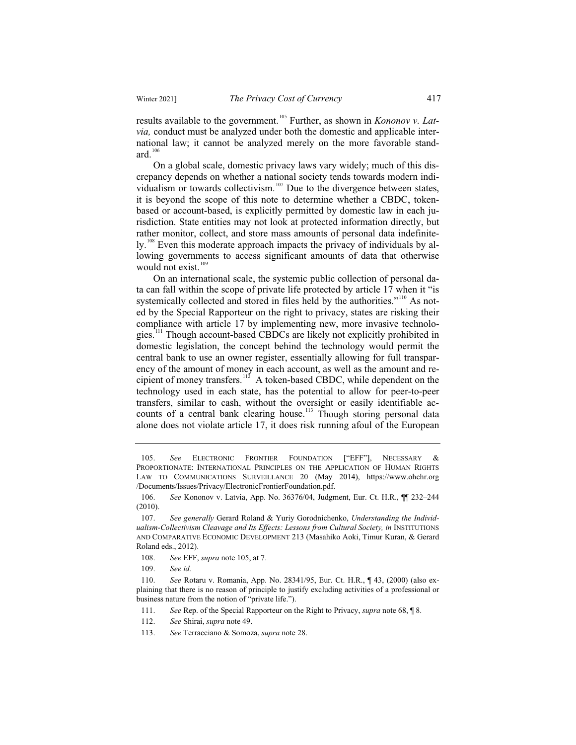results available to the government.<sup>105</sup> Further, as shown in *Kononov v. Latvia,* conduct must be analyzed under both the domestic and applicable international law; it cannot be analyzed merely on the more favorable standard $106$ 

On a global scale, domestic privacy laws vary widely; much of this discrepancy depends on whether a national society tends towards modern individualism or towards collectivism.<sup>107</sup> Due to the divergence between states, it is beyond the scope of this note to determine whether a CBDC, tokenbased or account-based, is explicitly permitted by domestic law in each jurisdiction. State entities may not look at protected information directly, but rather monitor, collect, and store mass amounts of personal data indefinite- $\rm{ly.}^{108}$  Even this moderate approach impacts the privacy of individuals by allowing governments to access significant amounts of data that otherwise would not exist. $109$ 

On an international scale, the systemic public collection of personal data can fall within the scope of private life protected by article 17 when it "is systemically collected and stored in files held by the authorities."<sup>110</sup> As noted by the Special Rapporteur on the right to privacy, states are risking their compliance with article 17 by implementing new, more invasive technologies.<sup>111</sup> Though account-based CBDCs are likely not explicitly prohibited in domestic legislation, the concept behind the technology would permit the central bank to use an owner register, essentially allowing for full transparency of the amount of money in each account, as well as the amount and recipient of money transfers.<sup>112</sup> A token-based CBDC, while dependent on the technology used in each state, has the potential to allow for peer-to-peer transfers, similar to cash, without the oversight or easily identifiable accounts of a central bank clearing house.<sup>113</sup> Though storing personal data alone does not violate article 17, it does risk running afoul of the European

- 108. *See* EFF, *supra* note 105, at 7.
- 109. *See id.*

- 111. *See* Rep. of the Special Rapporteur on the Right to Privacy, *supra* note 68, ¶ 8.
- 112. *See* Shirai, *supra* note 49.
- 113. *See* Terracciano & Somoza, *supra* note 28.

<sup>105.</sup> *See* ELECTRONIC FRONTIER FOUNDATION ["EFF"], NECESSARY & PROPORTIONATE: INTERNATIONAL PRINCIPLES ON THE APPLICATION OF HUMAN RIGHTS LAW TO COMMUNICATIONS SURVEILLANCE 20 (May 2014), https://www.ohchr.org /Documents/Issues/Privacy/ElectronicFrontierFoundation.pdf.

<sup>106.</sup> *See* Kononov v. Latvia, App. No. 36376/04, Judgment, Eur. Ct. H.R., ¶¶ 232–244 (2010).

<sup>107.</sup> *See generally* Gerard Roland & Yuriy Gorodnichenko, *Understanding the Individ*ualism-Collectivism Cleavage and Its Effects: Lessons from Cultural Society, in INSTITUTIONS AND COMPARATIVE ECONOMIC DEVELOPMENT 213 (Masahiko Aoki, Timur Kuran, & Gerard Roland eds., 2012).

<sup>110.</sup> *See* Rotaru v. Romania, App. No. 28341/95, Eur. Ct. H.R., ¶ 43, (2000) (also explaining that there is no reason of principle to justify excluding activities of a professional or business nature from the notion of "private life.").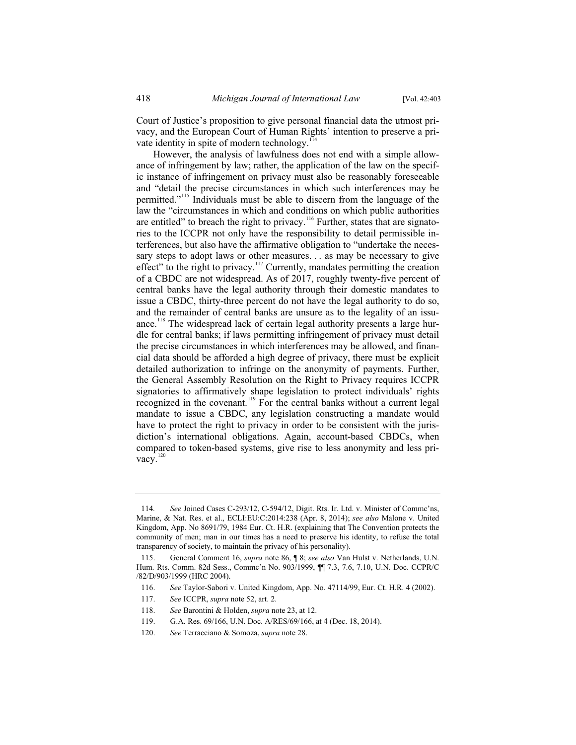Court of Justice's proposition to give personal financial data the utmost privacy, and the European Court of Human Rights' intention to preserve a private identity in spite of modern technology.<sup>114</sup>

However, the analysis of lawfulness does not end with a simple allowance of infringement by law; rather, the application of the law on the specific instance of infringement on privacy must also be reasonably foreseeable and "detail the precise circumstances in which such interferences may be permitted."115 Individuals must be able to discern from the language of the law the "circumstances in which and conditions on which public authorities are entitled" to breach the right to privacy.<sup>116</sup> Further, states that are signatories to the ICCPR not only have the responsibility to detail permissible interferences, but also have the affirmative obligation to "undertake the necessary steps to adopt laws or other measures. . . as may be necessary to give effect" to the right to privacy.<sup>117</sup> Currently, mandates permitting the creation of a CBDC are not widespread. As of 2017, roughly twenty-five percent of central banks have the legal authority through their domestic mandates to issue a CBDC, thirty-three percent do not have the legal authority to do so, and the remainder of central banks are unsure as to the legality of an issuance.<sup>118</sup> The widespread lack of certain legal authority presents a large hurdle for central banks; if laws permitting infringement of privacy must detail the precise circumstances in which interferences may be allowed, and financial data should be afforded a high degree of privacy, there must be explicit detailed authorization to infringe on the anonymity of payments. Further, the General Assembly Resolution on the Right to Privacy requires ICCPR signatories to affirmatively shape legislation to protect individuals' rights recognized in the covenant.<sup>119</sup> For the central banks without a current legal mandate to issue a CBDC, any legislation constructing a mandate would have to protect the right to privacy in order to be consistent with the jurisdiction's international obligations. Again, account-based CBDCs, when compared to token-based systems, give rise to less anonymity and less privacy.<sup>120</sup>

- 119. G.A. Res. 69/166, U.N. Doc. A/RES/69/166, at 4 (Dec. 18, 2014).
- 120. *See* Terracciano & Somoza, *supra* note 28.

<sup>114</sup>*. See* Joined Cases C-293/12, C-594/12, Digit. Rts. Ir. Ltd. v. Minister of Commc'ns, Marine, & Nat. Res. et al., ECLI:EU:C:2014:238 (Apr. 8, 2014); *see also* Malone v. United Kingdom, App. No 8691/79, 1984 Eur. Ct. H.R. (explaining that The Convention protects the community of men; man in our times has a need to preserve his identity, to refuse the total transparency of society, to maintain the privacy of his personality).

 <sup>115.</sup> General Comment 16, *supra* note 86, ¶ 8; *see also* Van Hulst v. Netherlands, U.N. Hum. Rts. Comm. 82d Sess., Commc'n No. 903/1999, ¶¶ 7.3, 7.6, 7.10, U.N. Doc. CCPR/C /82/D/903/1999 (HRC 2004).

 <sup>116.</sup> *See* Taylor-Sabori v. United Kingdom, App. No. 47114/99, Eur. Ct. H.R. 4 (2002).

 <sup>117.</sup> *See* ICCPR, *supra* note 52, art. 2.

 <sup>118.</sup> *See* Barontini & Holden, *supra* note 23, at 12.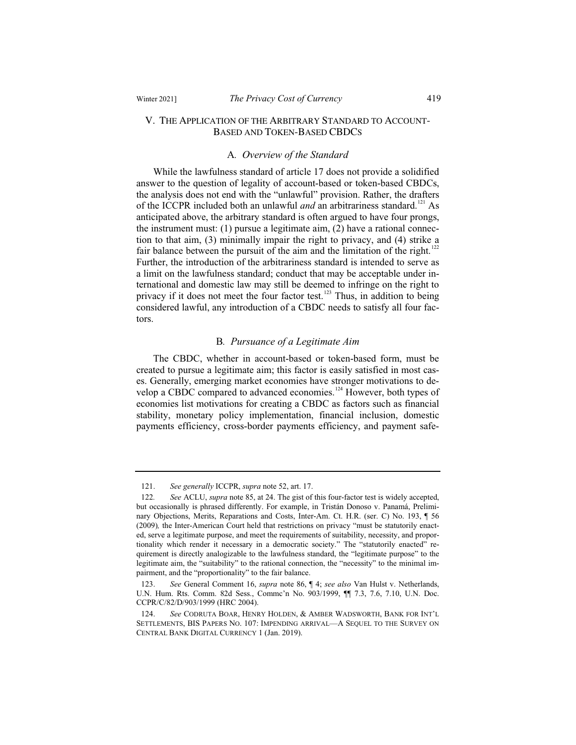#### V. THE APPLICATION OF THE ARBITRARY STANDARD TO ACCOUNT-BASED AND TOKEN-BASED CBDCS

### A*. Overview of the Standard*

While the lawfulness standard of article 17 does not provide a solidified answer to the question of legality of account-based or token-based CBDCs, the analysis does not end with the "unlawful" provision. Rather, the drafters of the ICCPR included both an unlawful *and* an arbitrariness standard.<sup>121</sup> As anticipated above, the arbitrary standard is often argued to have four prongs, the instrument must:  $(1)$  pursue a legitimate aim,  $(2)$  have a rational connection to that aim, (3) minimally impair the right to privacy, and (4) strike a fair balance between the pursuit of the aim and the limitation of the right.<sup>122</sup> Further, the introduction of the arbitrariness standard is intended to serve as a limit on the lawfulness standard; conduct that may be acceptable under international and domestic law may still be deemed to infringe on the right to privacy if it does not meet the four factor test.<sup>123</sup> Thus, in addition to being considered lawful, any introduction of a CBDC needs to satisfy all four factors.

#### B*. Pursuance of a Legitimate Aim*

The CBDC, whether in account-based or token-based form, must be created to pursue a legitimate aim; this factor is easily satisfied in most cases. Generally, emerging market economies have stronger motivations to develop a CBDC compared to advanced economies.<sup>124</sup> However, both types of economies list motivations for creating a CBDC as factors such as financial stability, monetary policy implementation, financial inclusion, domestic payments efficiency, cross-border payments efficiency, and payment safe-

 <sup>121.</sup> *See generally* ICCPR, *supra* note 52, art. 17.

<sup>122</sup>*. See* ACLU, *supra* note 85, at 24. The gist of this four-factor test is widely accepted, but occasionally is phrased differently. For example, in Tristán Donoso v. Panamá, Preliminary Objections, Merits, Reparations and Costs, Inter-Am. Ct. H.R. (ser. C) No. 193, ¶ 56 (2009)*,* the Inter-American Court held that restrictions on privacy "must be statutorily enacted, serve a legitimate purpose, and meet the requirements of suitability, necessity, and proportionality which render it necessary in a democratic society." The "statutorily enacted" requirement is directly analogizable to the lawfulness standard, the "legitimate purpose" to the legitimate aim, the "suitability" to the rational connection, the "necessity" to the minimal impairment, and the "proportionality" to the fair balance.

 <sup>123.</sup> *See* General Comment 16, *supra* note 86, ¶ 4; *see also* Van Hulst v. Netherlands, U.N. Hum. Rts. Comm. 82d Sess., Commc'n No. 903/1999, ¶¶ 7.3, 7.6, 7.10, U.N. Doc. CCPR/C/82/D/903/1999 (HRC 2004).

 <sup>124.</sup> *See* CODRUTA BOAR, HENRY HOLDEN, & AMBER WADSWORTH, BANK FOR INT'L SETTLEMENTS, BIS PAPERS NO. 107: IMPENDING ARRIVAL—A SEQUEL TO THE SURVEY ON CENTRAL BANK DIGITAL CURRENCY 1 (Jan. 2019).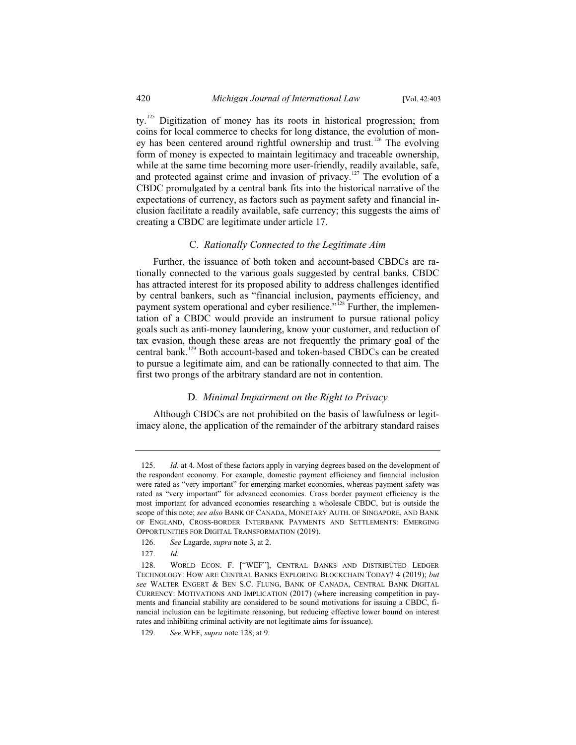ty.<sup>125</sup> Digitization of money has its roots in historical progression; from coins for local commerce to checks for long distance, the evolution of money has been centered around rightful ownership and trust.<sup>126</sup> The evolving form of money is expected to maintain legitimacy and traceable ownership, while at the same time becoming more user-friendly, readily available, safe, and protected against crime and invasion of privacy.<sup>127</sup> The evolution of a CBDC promulgated by a central bank fits into the historical narrative of the expectations of currency, as factors such as payment safety and financial inclusion facilitate a readily available, safe currency; this suggests the aims of creating a CBDC are legitimate under article 17.

#### C. *Rationally Connected to the Legitimate Aim*

Further, the issuance of both token and account-based CBDCs are rationally connected to the various goals suggested by central banks. CBDC has attracted interest for its proposed ability to address challenges identified by central bankers, such as "financial inclusion, payments efficiency, and payment system operational and cyber resilience."<sup>128</sup> Further, the implementation of a CBDC would provide an instrument to pursue rational policy goals such as anti-money laundering, know your customer, and reduction of tax evasion, though these areas are not frequently the primary goal of the central bank.<sup>129</sup> Both account-based and token-based CBDCs can be created to pursue a legitimate aim, and can be rationally connected to that aim. The first two prongs of the arbitrary standard are not in contention.

### D*. Minimal Impairment on the Right to Privacy*

Although CBDCs are not prohibited on the basis of lawfulness or legitimacy alone, the application of the remainder of the arbitrary standard raises

<sup>125.</sup> *Id.* at 4. Most of these factors apply in varying degrees based on the development of the respondent economy. For example, domestic payment efficiency and financial inclusion were rated as "very important" for emerging market economies, whereas payment safety was rated as "very important" for advanced economies. Cross border payment efficiency is the most important for advanced economies researching a wholesale CBDC, but is outside the scope of this note; *see also* BANK OF CANADA, MONETARY AUTH. OF SINGAPORE, AND BANK OF ENGLAND, CROSS-BORDER INTERBANK PAYMENTS AND SETTLEMENTS: EMERGING OPPORTUNITIES FOR DIGITAL TRANSFORMATION (2019).

<sup>126.</sup> *See* Lagarde, *supra* note 3, at 2.

<sup>127.</sup> *Id.*

<sup>128.</sup> WORLD ECON. F. ["WEF"], CENTRAL BANKS AND DISTRIBUTED LEDGER TECHNOLOGY: HOW ARE CENTRAL BANKS EXPLORING BLOCKCHAIN TODAY? 4 (2019); *but see* WALTER ENGERT & BEN S.C. FLUNG, BANK OF CANADA, CENTRAL BANK DIGITAL CURRENCY: MOTIVATIONS AND IMPLICATION (2017) (where increasing competition in payments and financial stability are considered to be sound motivations for issuing a CBDC, financial inclusion can be legitimate reasoning, but reducing effective lower bound on interest rates and inhibiting criminal activity are not legitimate aims for issuance).

<sup>129.</sup> *See* WEF, *supra* note 128, at 9.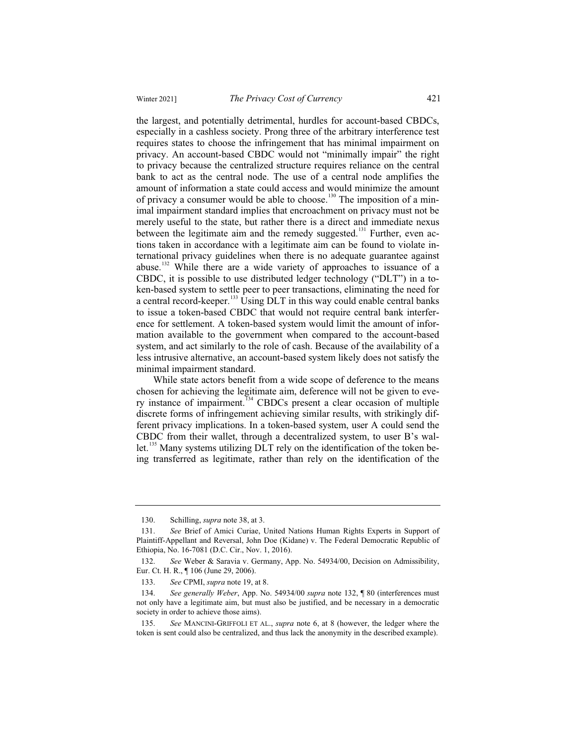the largest, and potentially detrimental, hurdles for account-based CBDCs, especially in a cashless society. Prong three of the arbitrary interference test requires states to choose the infringement that has minimal impairment on privacy. An account-based CBDC would not "minimally impair" the right to privacy because the centralized structure requires reliance on the central bank to act as the central node. The use of a central node amplifies the amount of information a state could access and would minimize the amount of privacy a consumer would be able to choose.<sup>130</sup> The imposition of a minimal impairment standard implies that encroachment on privacy must not be merely useful to the state, but rather there is a direct and immediate nexus between the legitimate aim and the remedy suggested.<sup>131</sup> Further, even actions taken in accordance with a legitimate aim can be found to violate international privacy guidelines when there is no adequate guarantee against abuse.<sup>132</sup> While there are a wide variety of approaches to issuance of a CBDC, it is possible to use distributed ledger technology ("DLT") in a token-based system to settle peer to peer transactions, eliminating the need for a central record-keeper.<sup>133</sup> Using DLT in this way could enable central banks to issue a token-based CBDC that would not require central bank interfer-

ence for settlement. A token-based system would limit the amount of information available to the government when compared to the account-based system, and act similarly to the role of cash. Because of the availability of a less intrusive alternative, an account-based system likely does not satisfy the minimal impairment standard.

While state actors benefit from a wide scope of deference to the means chosen for achieving the legitimate aim, deference will not be given to every instance of impairment.<sup>134</sup> CBDCs present a clear occasion of multiple discrete forms of infringement achieving similar results, with strikingly different privacy implications. In a token-based system, user A could send the CBDC from their wallet, through a decentralized system, to user B's wallet.<sup>135</sup> Many systems utilizing DLT rely on the identification of the token being transferred as legitimate, rather than rely on the identification of the

<sup>130.</sup> Schilling, *supra* note 38, at 3.

<sup>131.</sup> *See* Brief of Amici Curiae, United Nations Human Rights Experts in Support of Plaintiff-Appellant and Reversal, John Doe (Kidane) v. The Federal Democratic Republic of Ethiopia, No. 16-7081 (D.C. Cir., Nov. 1, 2016).

<sup>132.</sup> *See* Weber & Saravia v. Germany, App. No. 54934/00, Decision on Admissibility, Eur. Ct. H. R., ¶ 106 (June 29, 2006).

<sup>133.</sup> *See* CPMI, *supra* note 19, at 8.

<sup>134.</sup> *See generally Weber*, App. No. 54934/00 *supra* note 132, ¶ 80 (interferences must not only have a legitimate aim, but must also be justified, and be necessary in a democratic society in order to achieve those aims).

<sup>135.</sup> *See* MANCINI-GRIFFOLI ET AL., *supra* note 6, at 8 (however, the ledger where the token is sent could also be centralized, and thus lack the anonymity in the described example).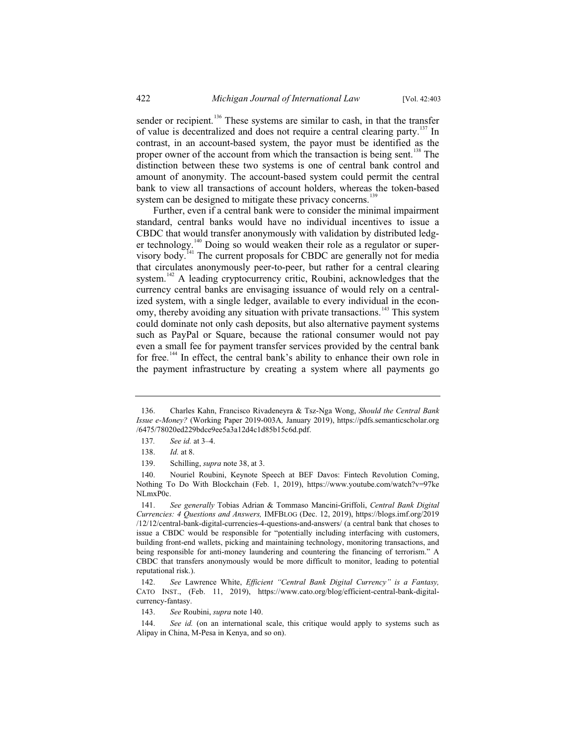sender or recipient.<sup>136</sup> These systems are similar to cash, in that the transfer of value is decentralized and does not require a central clearing party.137 In contrast, in an account-based system, the payor must be identified as the proper owner of the account from which the transaction is being sent.<sup>138</sup> The distinction between these two systems is one of central bank control and amount of anonymity. The account-based system could permit the central bank to view all transactions of account holders, whereas the token-based system can be designed to mitigate these privacy concerns.<sup>139</sup>

Further, even if a central bank were to consider the minimal impairment standard, central banks would have no individual incentives to issue a CBDC that would transfer anonymously with validation by distributed ledger technology.<sup>140</sup> Doing so would weaken their role as a regulator or supervisory body.<sup>141</sup> The current proposals for CBDC are generally not for media that circulates anonymously peer-to-peer, but rather for a central clearing system.<sup>142</sup> A leading cryptocurrency critic, Roubini, acknowledges that the currency central banks are envisaging issuance of would rely on a centralized system, with a single ledger, available to every individual in the economy, thereby avoiding any situation with private transactions.<sup>143</sup> This system could dominate not only cash deposits, but also alternative payment systems such as PayPal or Square, because the rational consumer would not pay even a small fee for payment transfer services provided by the central bank for free.<sup>144</sup> In effect, the central bank's ability to enhance their own role in the payment infrastructure by creating a system where all payments go

143. *See* Roubini, *supra* note 140.

 <sup>136.</sup> Charles Kahn, Francisco Rivadeneyra & Tsz-Nga Wong, *Should the Central Bank Issue e-Money?* (Working Paper 2019-003A*,* January 2019), https://pdfs.semanticscholar.org /6475/78020ed229bdce9ee5a3a12d4c1d85b15c6d.pdf.

<sup>137</sup>*. See id.* at 3–4.

 <sup>138.</sup> *Id.* at 8.

 <sup>139.</sup> Schilling, *supra* note 38, at 3.

 <sup>140.</sup> Nouriel Roubini, Keynote Speech at BEF Davos: Fintech Revolution Coming, Nothing To Do With Blockchain (Feb. 1, 2019), https://www.youtube.com/watch?v=97ke NLmxP0c.

 <sup>141.</sup> *See generally* Tobias Adrian & Tommaso Mancini-Griffoli, *Central Bank Digital Currencies: 4 Questions and Answers,* IMFBLOG (Dec. 12, 2019), https://blogs.imf.org/2019 /12/12/central-bank-digital-currencies-4-questions-and-answers/ (a central bank that choses to issue a CBDC would be responsible for "potentially including interfacing with customers, building front-end wallets, picking and maintaining technology, monitoring transactions, and being responsible for anti-money laundering and countering the financing of terrorism." A CBDC that transfers anonymously would be more difficult to monitor, leading to potential reputational risk.).

 <sup>142.</sup> *See* Lawrence White, *Efficient "Central Bank Digital Currency" is a Fantasy,*  CATO INST., (Feb. 11, 2019), https://www.cato.org/blog/efficient-central-bank-digitalcurrency-fantasy.

 <sup>144.</sup> *See id.* (on an international scale, this critique would apply to systems such as Alipay in China, M-Pesa in Kenya, and so on).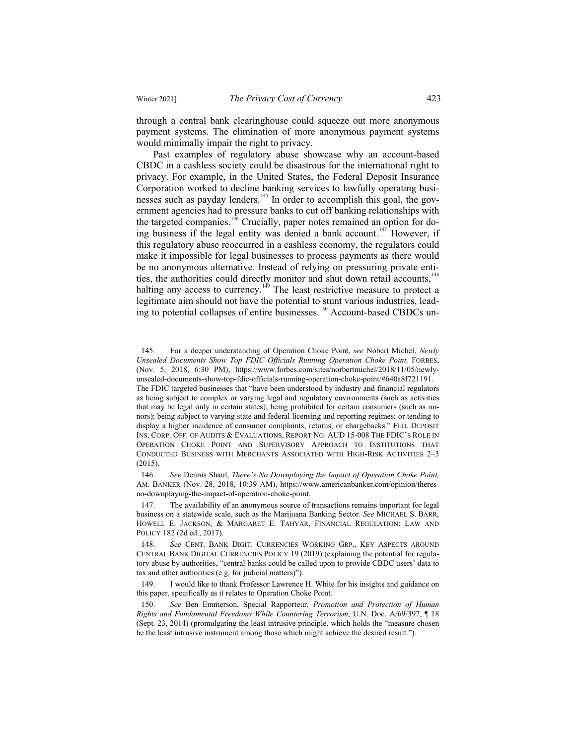(2015).

through a central bank clearinghouse could squeeze out more anonymous payment systems. The elimination of more anonymous payment systems would minimally impair the right to privacy.

Past examples of regulatory abuse showcase why an account-based CBDC in a cashless society could be disastrous for the international right to privacy. For example, in the United States, the Federal Deposit Insurance Corporation worked to decline banking services to lawfully operating businesses such as payday lenders.<sup>145</sup> In order to accomplish this goal, the government agencies had to pressure banks to cut off banking relationships with the targeted companies.<sup>146</sup> Crucially, paper notes remained an option for doing business if the legal entity was denied a bank account.<sup>147</sup> However, if this regulatory abuse reoccurred in a cashless economy, the regulators could make it impossible for legal businesses to process payments as there would be no anonymous alternative. Instead of relying on pressuring private entities, the authorities could directly monitor and shut down retail accounts,<sup>148</sup> halting any access to currency.<sup>149</sup> The least restrictive measure to protect a legitimate aim should not have the potential to stunt various industries, leading to potential collapses of entire businesses.<sup>150</sup> Account-based CBDCs un-

 <sup>145.</sup> For a deeper understanding of Operation Choke Point, *see* Nobert Michel, *Newly Unsealed Documents Show Top FDIC Officials Running Operation Choke Point, FORBES,* (Nov. 5, 2018, 6:30 PM), https://www.forbes.com/sites/norbertmichel/2018/11/05/newlyunsealed-documents-show-top-fdic-officials-running-operation-choke-point/#640a8f721191. The FDIC targeted businesses that "have been understood by industry and financial regulators as being subject to complex or varying legal and regulatory environments (such as activities that may be legal only in certain states); being prohibited for certain consumers (such as minors); being subject to varying state and federal licensing and reporting regimes; or tending to display a higher incidence of consumer complaints, returns, or chargebacks." FED. DEPOSIT INS. CORP. OFF*.* OF AUDITS & EVALUATIONS, REPORT NO. AUD 15-008 THE FDIC'S ROLE IN OPERATION CHOKE POINT AND SUPERVISORY APPROACH TO INSTITUTIONS THAT CONDUCTED BUSINESS WITH MERCHANTS ASSOCIATED WITH HIGH-RISK ACTIVITIES 2–3

 <sup>146.</sup> *See* Dennis Shaul, *There's No Downplaying the Impact of Operation Choke Point,*  AM. BANKER (Nov. 28, 2018, 10:39 AM), https://www.americanbanker.com/opinion/theresno-downplaying-the-impact-of-operation-choke-point.

 <sup>147.</sup> The availability of an anonymous source of transactions remains important for legal business on a statewide scale, such as the Marijuana Banking Sector. *See* MICHAEL S. BARR, HOWELL E. JACKSON, & MARGARET E. TAHYAR, FINANCIAL REGULATION: LAW AND POLICY 182 (2d ed., 2017).

 <sup>148.</sup> *See* CENT. BANK DIGIT. CURRENCIES WORKING GRP., KEY ASPECTS AROUND CENTRAL BANK DIGITAL CURRENCIES POLICY 19 (2019) (explaining the potential for regulatory abuse by authorities, "central banks could be called upon to provide CBDC users' data to tax and other authorities (e.g. for judicial matters)").

 <sup>149.</sup> I would like to thank Professor Lawrence H. White for his insights and guidance on this paper, specifically as it relates to Operation Choke Point.

 <sup>150.</sup> *See* Ben Emmerson, Special Rapporteur, *Promotion and Protection of Human Rights and Fundamental Freedoms While Countering Terrorism*, U.N. Doc. A/69/397, ¶ 18 (Sept. 23, 2014) (promulgating the least intrusive principle, which holds the "measure chosen be the least intrusive instrument among those which might achieve the desired result.").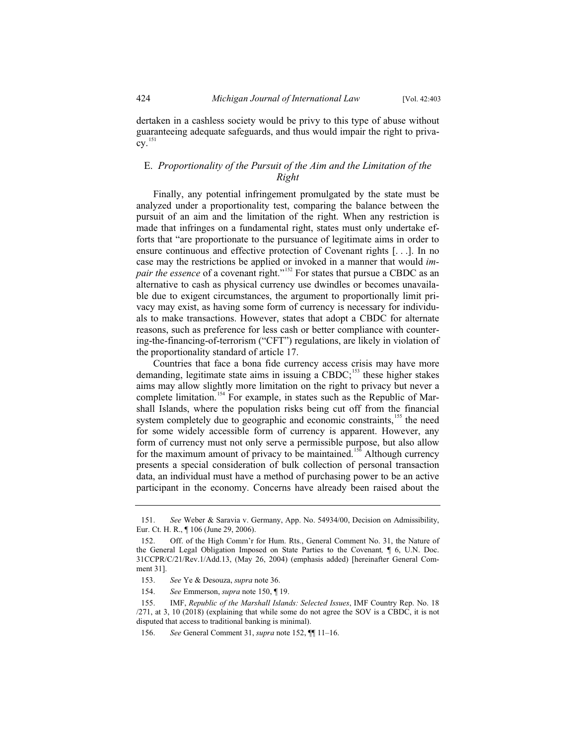dertaken in a cashless society would be privy to this type of abuse without guaranteeing adequate safeguards, and thus would impair the right to priva- $\text{CV.}^{151}$ 

## E. *Proportionality of the Pursuit of the Aim and the Limitation of the Right*

Finally, any potential infringement promulgated by the state must be analyzed under a proportionality test, comparing the balance between the pursuit of an aim and the limitation of the right. When any restriction is made that infringes on a fundamental right, states must only undertake efforts that "are proportionate to the pursuance of legitimate aims in order to ensure continuous and effective protection of Covenant rights [. . .]. In no case may the restrictions be applied or invoked in a manner that would *impair the essence* of a covenant right."<sup>152</sup> For states that pursue a CBDC as an alternative to cash as physical currency use dwindles or becomes unavailable due to exigent circumstances, the argument to proportionally limit privacy may exist, as having some form of currency is necessary for individuals to make transactions. However, states that adopt a CBDC for alternate reasons, such as preference for less cash or better compliance with countering-the-financing-of-terrorism ("CFT") regulations, are likely in violation of the proportionality standard of article 17.

Countries that face a bona fide currency access crisis may have more demanding, legitimate state aims in issuing a CBDC;<sup>153</sup> these higher stakes aims may allow slightly more limitation on the right to privacy but never a complete limitation.<sup>154</sup> For example, in states such as the Republic of Marshall Islands, where the population risks being cut off from the financial system completely due to geographic and economic constraints,<sup>155</sup> the need for some widely accessible form of currency is apparent. However, any form of currency must not only serve a permissible purpose, but also allow for the maximum amount of privacy to be maintained.<sup>156</sup> Although currency presents a special consideration of bulk collection of personal transaction data, an individual must have a method of purchasing power to be an active participant in the economy. Concerns have already been raised about the

<sup>151.</sup> *See* Weber & Saravia v. Germany, App. No. 54934/00, Decision on Admissibility, Eur. Ct. H. R., ¶ 106 (June 29, 2006).

<sup>152.</sup> Off. of the High Comm'r for Hum. Rts., General Comment No. 31, the Nature of the General Legal Obligation Imposed on State Parties to the Covenant*,* ¶ 6, U.N. Doc. 31CCPR/C/21/Rev.1/Add.13, (May 26, 2004) (emphasis added) [hereinafter General Comment 31].

<sup>153.</sup> *See* Ye & Desouza, *supra* note 36.

<sup>154.</sup> *See* Emmerson, *supra* note 150, ¶ 19.

<sup>155.</sup> IMF, *Republic of the Marshall Islands: Selected Issues*, IMF Country Rep. No. 18 /271, at 3, 10 (2018) (explaining that while some do not agree the SOV is a CBDC, it is not disputed that access to traditional banking is minimal).

<sup>156.</sup> *See* General Comment 31, *supra* note 152, ¶¶ 11–16.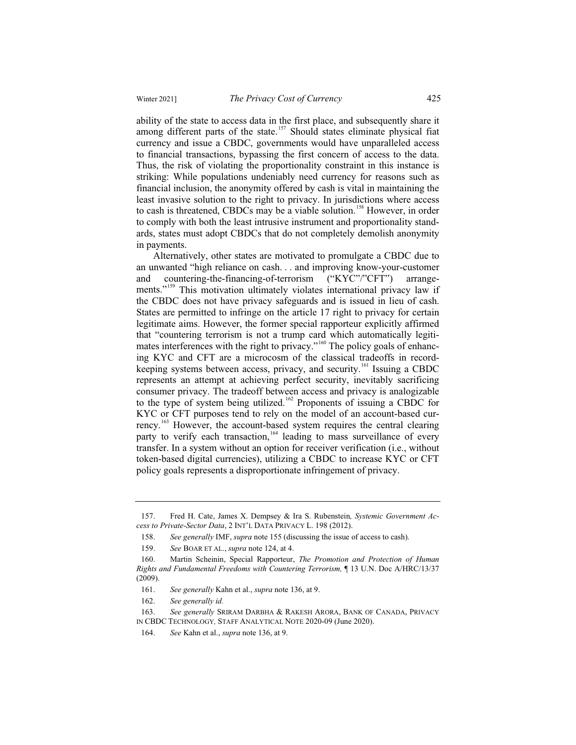in payments.

ability of the state to access data in the first place, and subsequently share it among different parts of the state.<sup>157</sup> Should states eliminate physical fiat currency and issue a CBDC, governments would have unparalleled access to financial transactions, bypassing the first concern of access to the data. Thus, the risk of violating the proportionality constraint in this instance is striking: While populations undeniably need currency for reasons such as financial inclusion, the anonymity offered by cash is vital in maintaining the least invasive solution to the right to privacy. In jurisdictions where access to cash is threatened, CBDCs may be a viable solution.<sup>158</sup> However, in order to comply with both the least intrusive instrument and proportionality standards, states must adopt CBDCs that do not completely demolish anonymity

Alternatively, other states are motivated to promulgate a CBDC due to an unwanted "high reliance on cash. . . and improving know-your-customer and countering-the-financing-of-terrorism ("KYC"/"CFT") arrangeand countering-the-financing-of-terrorism ("KYC"/"CFT") arrangements."<sup>159</sup> This motivation ultimately violates international privacy law if the CBDC does not have privacy safeguards and is issued in lieu of cash. States are permitted to infringe on the article 17 right to privacy for certain legitimate aims. However, the former special rapporteur explicitly affirmed that "countering terrorism is not a trump card which automatically legitimates interferences with the right to privacy."<sup>160</sup> The policy goals of enhancing KYC and CFT are a microcosm of the classical tradeoffs in recordkeeping systems between access, privacy, and security.<sup>161</sup> Issuing a CBDC represents an attempt at achieving perfect security, inevitably sacrificing consumer privacy. The tradeoff between access and privacy is analogizable to the type of system being utilized.<sup>162</sup> Proponents of issuing a CBDC for KYC or CFT purposes tend to rely on the model of an account-based currency.<sup>163</sup> However, the account-based system requires the central clearing party to verify each transaction,<sup>164</sup> leading to mass surveillance of every transfer. In a system without an option for receiver verification (i.e., without token-based digital currencies), utilizing a CBDC to increase KYC or CFT policy goals represents a disproportionate infringement of privacy.

<sup>157.</sup> Fred H. Cate, James X. Dempsey & Ira S. Rubenstein*, Systemic Government Access to Private-Sector Data*,2INT'L DATA PRIVACY L. 198 (2012).

<sup>158.</sup> *See generally* IMF, *supra* note 155 (discussing the issue of access to cash).

<sup>159.</sup> *See* BOAR ET AL., *supra* note 124, at 4.

<sup>160.</sup> Martin Scheinin, Special Rapporteur, *The Promotion and Protection of Human Rights and Fundamental Freedoms with Countering Terrorism,* ¶ 13 U.N. Doc A/HRC/13/37 (2009).

<sup>161.</sup> *See generally* Kahn et al., *supra* note 136, at 9.

<sup>162.</sup> *See generally id.*

<sup>163.</sup> *See generally* SRIRAM DARBHA & RAKESH ARORA, BANK OF CANADA, PRIVACY IN CBDC TECHNOLOGY*,* STAFF ANALYTICAL NOTE 2020-09 (June 2020).

<sup>164.</sup> *See* Kahn et al., *supra* note 136, at 9.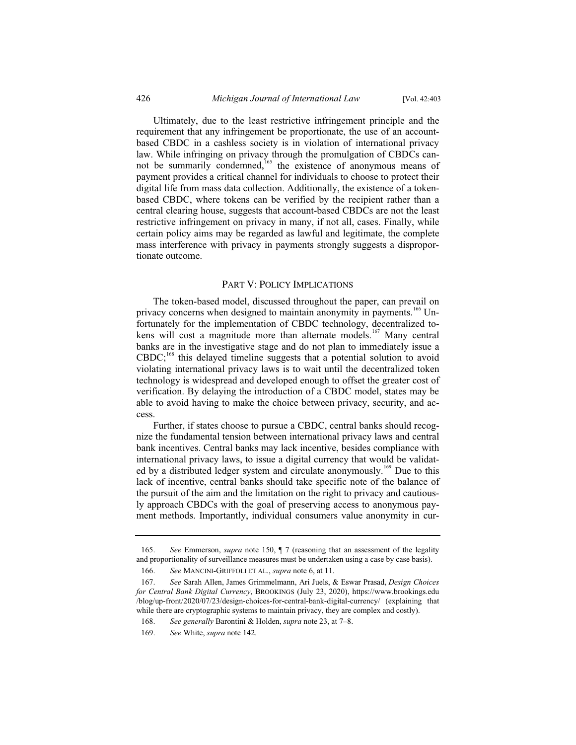Ultimately, due to the least restrictive infringement principle and the requirement that any infringement be proportionate, the use of an accountbased CBDC in a cashless society is in violation of international privacy law. While infringing on privacy through the promulgation of CBDCs cannot be summarily condemned,<sup>165</sup> the existence of anonymous means of payment provides a critical channel for individuals to choose to protect their digital life from mass data collection. Additionally, the existence of a tokenbased CBDC, where tokens can be verified by the recipient rather than a central clearing house, suggests that account-based CBDCs are not the least restrictive infringement on privacy in many, if not all, cases. Finally, while certain policy aims may be regarded as lawful and legitimate, the complete mass interference with privacy in payments strongly suggests a disproportionate outcome.

#### PART V: POLICY IMPLICATIONS

The token-based model, discussed throughout the paper, can prevail on privacy concerns when designed to maintain anonymity in payments.<sup>166</sup> Unfortunately for the implementation of CBDC technology, decentralized tokens will cost a magnitude more than alternate models.<sup>167</sup> Many central banks are in the investigative stage and do not plan to immediately issue a CBDC;<sup>168</sup> this delayed timeline suggests that a potential solution to avoid violating international privacy laws is to wait until the decentralized token technology is widespread and developed enough to offset the greater cost of verification. By delaying the introduction of a CBDC model, states may be able to avoid having to make the choice between privacy, security, and access.

Further, if states choose to pursue a CBDC, central banks should recognize the fundamental tension between international privacy laws and central bank incentives. Central banks may lack incentive, besides compliance with international privacy laws, to issue a digital currency that would be validated by a distributed ledger system and circulate anonymously.<sup>169</sup> Due to this lack of incentive, central banks should take specific note of the balance of the pursuit of the aim and the limitation on the right to privacy and cautiously approach CBDCs with the goal of preserving access to anonymous payment methods. Importantly, individual consumers value anonymity in cur-

<sup>165.</sup> *See* Emmerson, *supra* note 150, ¶ 7 (reasoning that an assessment of the legality and proportionality of surveillance measures must be undertaken using a case by case basis).

<sup>166.</sup> *See* MANCINI-GRIFFOLI ET AL., *supra* note 6, at 11.

<sup>167.</sup> *See* Sarah Allen, James Grimmelmann, Ari Juels, & Eswar Prasad, *Design Choices for Central Bank Digital Currency*, BROOKINGS (July 23, 2020), https://www.brookings.edu /blog/up-front/2020/07/23/design-choices-for-central-bank-digital-currency/ (explaining that while there are cryptographic systems to maintain privacy, they are complex and costly).

<sup>168.</sup> *See generally* Barontini & Holden, *supra* note 23, at 7–8.

<sup>169.</sup> *See* White, *supra* note 142.